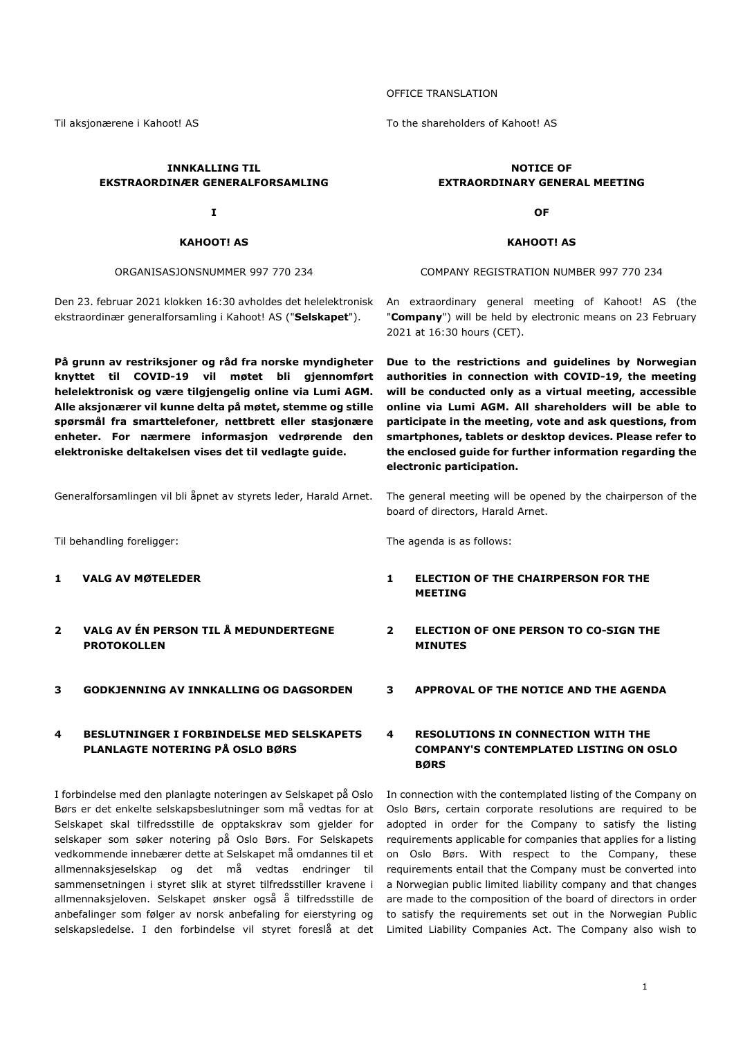**INNKALLING TIL EKSTRAORDINÆR GENERALFORSAMLING** 

**I** 

#### **KAHOOT! AS**

ORGANISASJONSNUMMER 997 770 234

Den 23. februar 2021 klokken 16:30 avholdes det helelektronisk ekstraordinær generalforsamling i Kahoot! AS ("**Selskapet**").

**På grunn av restriksjoner og råd fra norske myndigheter knyttet til COVID-19 vil møtet bli gjennomført helelektronisk og være tilgjengelig online via Lumi AGM. Alle aksjonærer vil kunne delta på møtet, stemme og stille spørsmål fra smarttelefoner, nettbrett eller stasjonære enheter. For nærmere informasjon vedrørende den elektroniske deltakelsen vises det til vedlagte guide.** 

Generalforsamlingen vil bli åpnet av styrets leder, Harald Arnet. The general meeting will be opened by the chairperson of the

Til behandling foreligger: The agenda is as follows:

- 
- **2 VALG AV ÉN PERSON TIL Å MEDUNDERTEGNE PROTOKOLLEN**
- **3 GODKJENNING AV INNKALLING OG DAGSORDEN 3 APPROVAL OF THE NOTICE AND THE AGENDA**

#### **4 BESLUTNINGER I FORBINDELSE MED SELSKAPETS PLANLAGTE NOTERING PÅ OSLO BØRS**

I forbindelse med den planlagte noteringen av Selskapet på Oslo Børs er det enkelte selskapsbeslutninger som må vedtas for at Selskapet skal tilfredsstille de opptakskrav som gjelder for selskaper som søker notering på Oslo Børs. For Selskapets vedkommende innebærer dette at Selskapet må omdannes til et allmennaksjeselskap og det må vedtas endringer til sammensetningen i styret slik at styret tilfredsstiller kravene i allmennaksjeloven. Selskapet ønsker også å tilfredsstille de anbefalinger som følger av norsk anbefaling for eierstyring og

#### OFFICE TRANSLATION

Til aksjonærene i Kahoot! AS To the shareholders of Kahoot! AS

#### **NOTICE OF EXTRAORDINARY GENERAL MEETING**

**OF** 

#### **KAHOOT! AS**

COMPANY REGISTRATION NUMBER 997 770 234

An extraordinary general meeting of Kahoot! AS (the "**Company**") will be held by electronic means on 23 February 2021 at 16:30 hours (CET).

**Due to the restrictions and guidelines by Norwegian authorities in connection with COVID-19, the meeting will be conducted only as a virtual meeting, accessible online via Lumi AGM. All shareholders will be able to participate in the meeting, vote and ask questions, from smartphones, tablets or desktop devices. Please refer to the enclosed guide for further information regarding the electronic participation.** 

board of directors, Harald Arnet.

#### **1 VALG AV MØTELEDER 1 ELECTION OF THE CHAIRPERSON FOR THE MEETING**

- **2 ELECTION OF ONE PERSON TO CO-SIGN THE MINUTES**
- 

#### **4 RESOLUTIONS IN CONNECTION WITH THE COMPANY'S CONTEMPLATED LISTING ON OSLO BØRS**

selskapsledelse. I den forbindelse vil styret foreslå at det Limited Liability Companies Act. The Company also wish to In connection with the contemplated listing of the Company on Oslo Børs, certain corporate resolutions are required to be adopted in order for the Company to satisfy the listing requirements applicable for companies that applies for a listing on Oslo Børs. With respect to the Company, these requirements entail that the Company must be converted into a Norwegian public limited liability company and that changes are made to the composition of the board of directors in order to satisfy the requirements set out in the Norwegian Public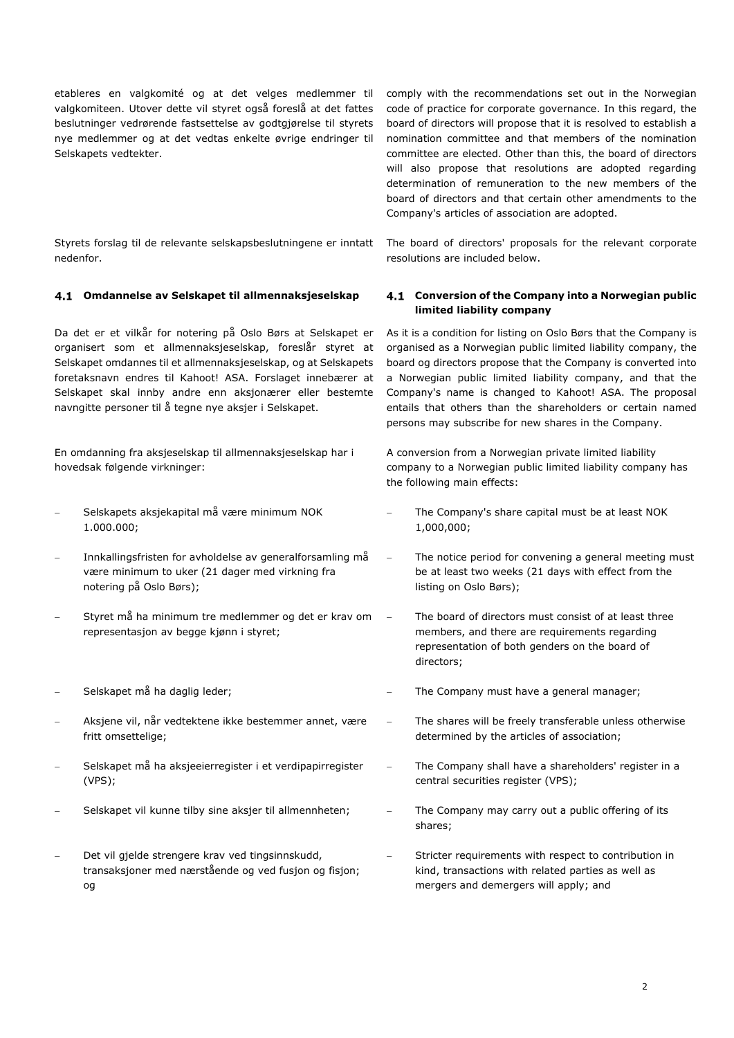etableres en valgkomité og at det velges medlemmer til valgkomiteen. Utover dette vil styret også foreslå at det fattes beslutninger vedrørende fastsettelse av godtgjørelse til styrets nye medlemmer og at det vedtas enkelte øvrige endringer til Selskapets vedtekter.

Styrets forslag til de relevante selskapsbeslutningene er inntatt nedenfor.

#### **Omdannelse av Selskapet til allmennaksjeselskap Conversion of the Company into a Norwegian public**

Da det er et vilkår for notering på Oslo Børs at Selskapet er organisert som et allmennaksjeselskap, foreslår styret at Selskapet omdannes til et allmennaksjeselskap, og at Selskapets foretaksnavn endres til Kahoot! ASA. Forslaget innebærer at Selskapet skal innby andre enn aksjonærer eller bestemte navngitte personer til å tegne nye aksjer i Selskapet.

En omdanning fra aksjeselskap til allmennaksjeselskap har i hovedsak følgende virkninger:

- Selskapets aksjekapital må være minimum NOK 1.000.000;
- Innkallingsfristen for avholdelse av generalforsamling må være minimum to uker (21 dager med virkning fra notering på Oslo Børs);
- Styret må ha minimum tre medlemmer og det er krav om representasjon av begge kjønn i styret;
- 
- Aksjene vil, når vedtektene ikke bestemmer annet, være fritt omsettelige;
- Selskapet må ha aksjeeierregister i et verdipapirregister (VPS);
- 
- Det vil gjelde strengere krav ved tingsinnskudd, transaksjoner med nærstående og ved fusjon og fisjon; og

comply with the recommendations set out in the Norwegian code of practice for corporate governance. In this regard, the board of directors will propose that it is resolved to establish a nomination committee and that members of the nomination committee are elected. Other than this, the board of directors will also propose that resolutions are adopted regarding determination of remuneration to the new members of the board of directors and that certain other amendments to the Company's articles of association are adopted.

The board of directors' proposals for the relevant corporate resolutions are included below.

# **limited liability company**

As it is a condition for listing on Oslo Børs that the Company is organised as a Norwegian public limited liability company, the board og directors propose that the Company is converted into a Norwegian public limited liability company, and that the Company's name is changed to Kahoot! ASA. The proposal entails that others than the shareholders or certain named persons may subscribe for new shares in the Company.

A conversion from a Norwegian private limited liability company to a Norwegian public limited liability company has the following main effects:

- The Company's share capital must be at least NOK 1,000,000;
- The notice period for convening a general meeting must be at least two weeks (21 days with effect from the listing on Oslo Børs);
	- The board of directors must consist of at least three members, and there are requirements regarding representation of both genders on the board of directors;
- Selskapet må ha daglig leder;  $\overline{\phantom{a}}$  The Company must have a general manager;
	- The shares will be freely transferable unless otherwise determined by the articles of association;
	- The Company shall have a shareholders' register in a central securities register (VPS);
- Selskapet vil kunne tilby sine aksjer til allmennheten; The Company may carry out a public offering of its shares;
	- Stricter requirements with respect to contribution in kind, transactions with related parties as well as mergers and demergers will apply; and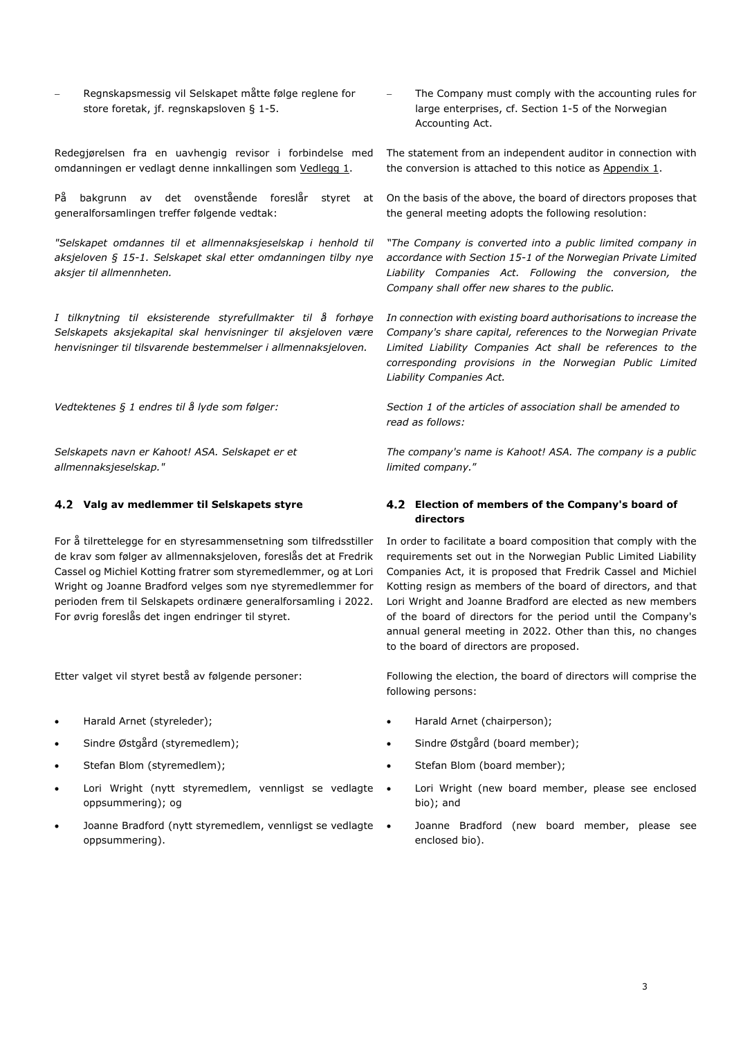Regnskapsmessig vil Selskapet måtte følge reglene for store foretak, jf. regnskapsloven § 1-5.

Redegjørelsen fra en uavhengig revisor i forbindelse med omdanningen er vedlagt denne innkallingen som Vedlegg 1.

På bakgrunn av det ovenstående foreslår styret at generalforsamlingen treffer følgende vedtak:

*"Selskapet omdannes til et allmennaksjeselskap i henhold til aksjeloven § 15-1. Selskapet skal etter omdanningen tilby nye aksjer til allmennheten.* 

*I tilknytning til eksisterende styrefullmakter til å forhøye Selskapets aksjekapital skal henvisninger til aksjeloven være henvisninger til tilsvarende bestemmelser i allmennaksjeloven.* 

*Selskapets navn er Kahoot! ASA. Selskapet er et allmennaksjeselskap."*

For å tilrettelegge for en styresammensetning som tilfredsstiller de krav som følger av allmennaksjeloven, foreslås det at Fredrik Cassel og Michiel Kotting fratrer som styremedlemmer, og at Lori Wright og Joanne Bradford velges som nye styremedlemmer for perioden frem til Selskapets ordinære generalforsamling i 2022. For øvrig foreslås det ingen endringer til styret.

- Harald Arnet (styreleder);
- Sindre Østgård (styremedlem);
- Stefan Blom (styremedlem);
- Lori Wright (nytt styremedlem, vennligst se vedlagte oppsummering); og
- Joanne Bradford (nytt styremedlem, vennligst se vedlagte . oppsummering).

 The Company must comply with the accounting rules for large enterprises, cf. Section 1-5 of the Norwegian Accounting Act.

The statement from an independent auditor in connection with the conversion is attached to this notice as  $Appendix 1$ .

On the basis of the above, the board of directors proposes that the general meeting adopts the following resolution:

*"The Company is converted into a public limited company in accordance with Section 15-1 of the Norwegian Private Limited Liability Companies Act. Following the conversion, the Company shall offer new shares to the public.* 

*In connection with existing board authorisations to increase the Company's share capital, references to the Norwegian Private Limited Liability Companies Act shall be references to the corresponding provisions in the Norwegian Public Limited Liability Companies Act.* 

Vedtektenes § 1 endres til å lyde som følger: Section 1 of the articles of association shall be amended to vedta *read as follows:* 

> *The company's name is Kahoot! ASA. The company is a public limited company.*"

#### **Valg av medlemmer til Selskapets styre Election of members of the Company's board of directors**

In order to facilitate a board composition that comply with the requirements set out in the Norwegian Public Limited Liability Companies Act, it is proposed that Fredrik Cassel and Michiel Kotting resign as members of the board of directors, and that Lori Wright and Joanne Bradford are elected as new members of the board of directors for the period until the Company's annual general meeting in 2022. Other than this, no changes to the board of directors are proposed.

Etter valget vil styret bestå av følgende personer: Following the election, the board of directors will comprise the following persons:

- Harald Arnet (chairperson);
- Sindre Østgård (board member);
- Stefan Blom (board member);
- Lori Wright (new board member, please see enclosed bio); and
- Joanne Bradford (new board member, please see enclosed bio).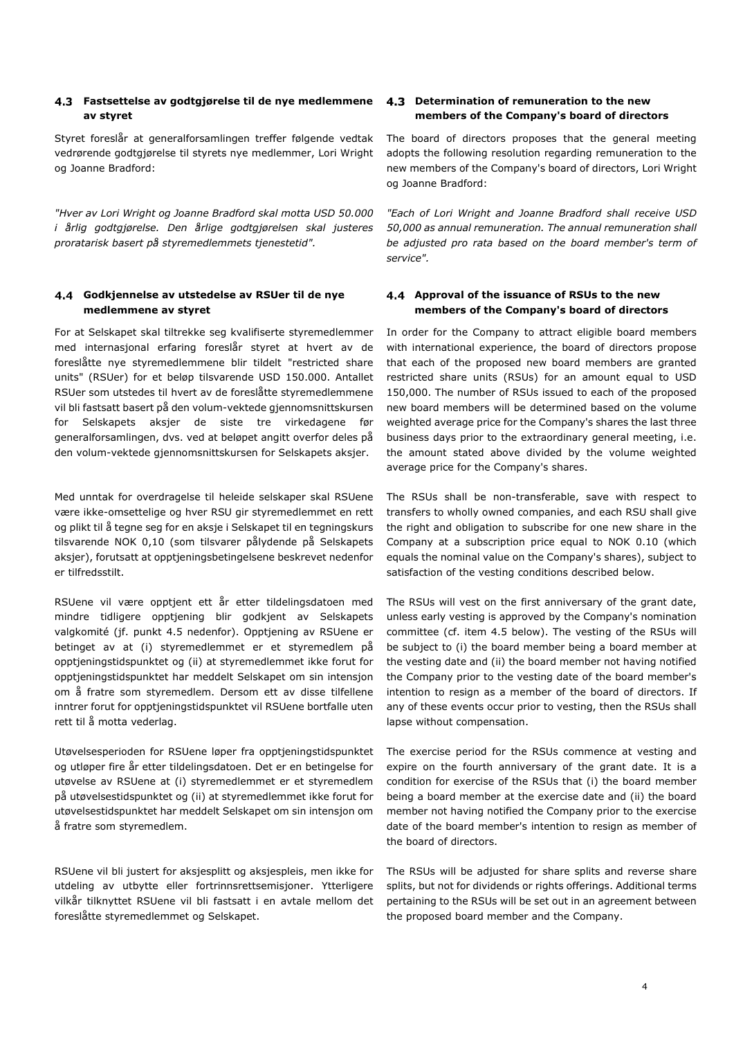#### **Fastsettelse av godtgjørelse til de nye medlemmene av styret**

Styret foreslår at generalforsamlingen treffer følgende vedtak vedrørende godtgjørelse til styrets nye medlemmer, Lori Wright og Joanne Bradford:

*"Hver av Lori Wright og Joanne Bradford skal motta USD 50.000 i årlig godtgjørelse. Den årlige godtgjørelsen skal justeres proratarisk basert på styremedlemmets tjenestetid".* 

#### **Godkjennelse av utstedelse av RSUer til de nye medlemmene av styret**

For at Selskapet skal tiltrekke seg kvalifiserte styremedlemmer med internasjonal erfaring foreslår styret at hvert av de foreslåtte nye styremedlemmene blir tildelt "restricted share units" (RSUer) for et beløp tilsvarende USD 150.000. Antallet RSUer som utstedes til hvert av de foreslåtte styremedlemmene vil bli fastsatt basert på den volum-vektede gjennomsnittskursen for Selskapets aksjer de siste tre virkedagene før generalforsamlingen, dvs. ved at beløpet angitt overfor deles på den volum-vektede gjennomsnittskursen for Selskapets aksjer.

Med unntak for overdragelse til heleide selskaper skal RSUene være ikke-omsettelige og hver RSU gir styremedlemmet en rett og plikt til å tegne seg for en aksje i Selskapet til en tegningskurs tilsvarende NOK 0,10 (som tilsvarer pålydende på Selskapets aksjer), forutsatt at opptjeningsbetingelsene beskrevet nedenfor er tilfredsstilt.

RSUene vil være opptjent ett år etter tildelingsdatoen med mindre tidligere opptjening blir godkjent av Selskapets valgkomité (jf. punkt 4.5 nedenfor). Opptjening av RSUene er betinget av at (i) styremedlemmet er et styremedlem på opptjeningstidspunktet og (ii) at styremedlemmet ikke forut for opptjeningstidspunktet har meddelt Selskapet om sin intensjon om å fratre som styremedlem. Dersom ett av disse tilfellene inntrer forut for opptjeningstidspunktet vil RSUene bortfalle uten rett til å motta vederlag.

Utøvelsesperioden for RSUene løper fra opptjeningstidspunktet og utløper fire år etter tildelingsdatoen. Det er en betingelse for utøvelse av RSUene at (i) styremedlemmet er et styremedlem på utøvelsestidspunktet og (ii) at styremedlemmet ikke forut for utøvelsestidspunktet har meddelt Selskapet om sin intensjon om å fratre som styremedlem.

RSUene vil bli justert for aksjesplitt og aksjespleis, men ikke for utdeling av utbytte eller fortrinnsrettsemisjoner. Ytterligere vilkår tilknyttet RSUene vil bli fastsatt i en avtale mellom det foreslåtte styremedlemmet og Selskapet.

#### **Determination of remuneration to the new members of the Company's board of directors**

The board of directors proposes that the general meeting adopts the following resolution regarding remuneration to the new members of the Company's board of directors, Lori Wright og Joanne Bradford:

*"Each of Lori Wright and Joanne Bradford shall receive USD 50,000 as annual remuneration. The annual remuneration shall be adjusted pro rata based on the board member's term of service".* 

#### **Approval of the issuance of RSUs to the new members of the Company's board of directors**

In order for the Company to attract eligible board members with international experience, the board of directors propose that each of the proposed new board members are granted restricted share units (RSUs) for an amount equal to USD 150,000. The number of RSUs issued to each of the proposed new board members will be determined based on the volume weighted average price for the Company's shares the last three business days prior to the extraordinary general meeting, i.e. the amount stated above divided by the volume weighted average price for the Company's shares.

The RSUs shall be non-transferable, save with respect to transfers to wholly owned companies, and each RSU shall give the right and obligation to subscribe for one new share in the Company at a subscription price equal to NOK 0.10 (which equals the nominal value on the Company's shares), subject to satisfaction of the vesting conditions described below.

The RSUs will vest on the first anniversary of the grant date, unless early vesting is approved by the Company's nomination committee (cf. item 4.5 below). The vesting of the RSUs will be subject to (i) the board member being a board member at the vesting date and (ii) the board member not having notified the Company prior to the vesting date of the board member's intention to resign as a member of the board of directors. If any of these events occur prior to vesting, then the RSUs shall lapse without compensation.

The exercise period for the RSUs commence at vesting and expire on the fourth anniversary of the grant date. It is a condition for exercise of the RSUs that (i) the board member being a board member at the exercise date and (ii) the board member not having notified the Company prior to the exercise date of the board member's intention to resign as member of the board of directors.

The RSUs will be adjusted for share splits and reverse share splits, but not for dividends or rights offerings. Additional terms pertaining to the RSUs will be set out in an agreement between the proposed board member and the Company.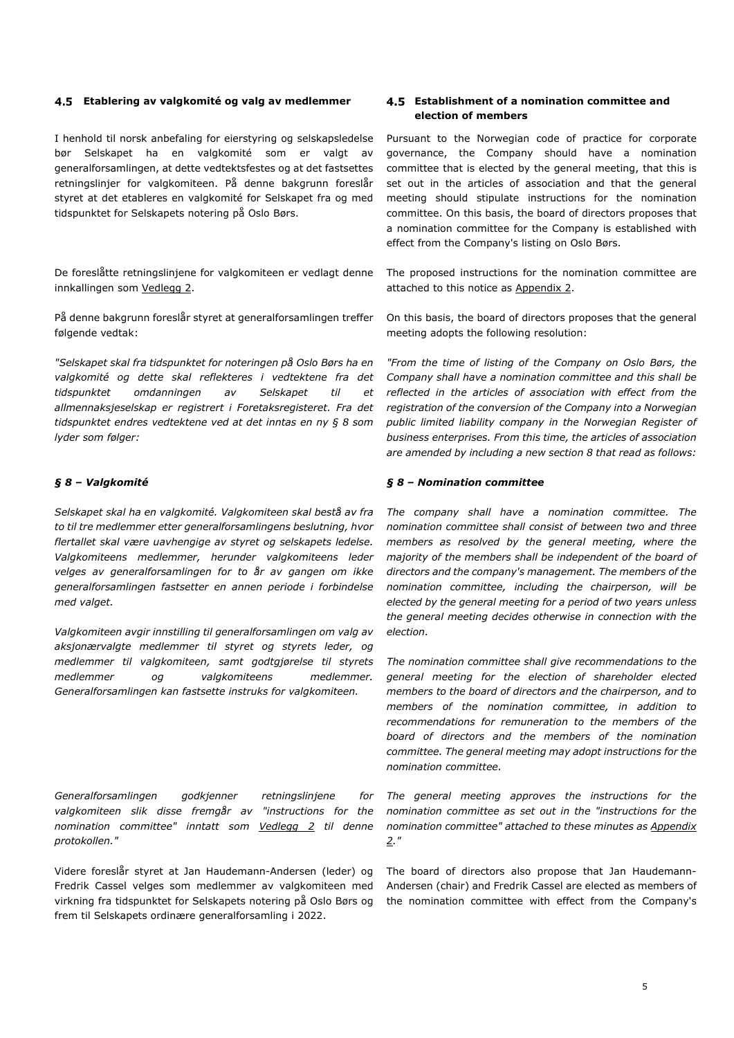#### **Etablering av valgkomité og valg av medlemmer Establishment of a nomination committee and**

I henhold til norsk anbefaling for eierstyring og selskapsledelse bør Selskapet ha en valgkomité som er valgt av generalforsamlingen, at dette vedtektsfestes og at det fastsettes retningslinjer for valgkomiteen. På denne bakgrunn foreslår styret at det etableres en valgkomité for Selskapet fra og med tidspunktet for Selskapets notering på Oslo Børs.

De foreslåtte retningslinjene for valgkomiteen er vedlagt denne innkallingen som Vedlegg 2.

På denne bakgrunn foreslår styret at generalforsamlingen treffer følgende vedtak:

*"Selskapet skal fra tidspunktet for noteringen på Oslo Børs ha en valgkomité og dette skal reflekteres i vedtektene fra det tidspunktet omdanningen av Selskapet til et allmennaksjeselskap er registrert i Foretaksregisteret. Fra det tidspunktet endres vedtektene ved at det inntas en ny § 8 som lyder som følger:* 

#### *§ 8 – Valgkomité*

*Selskapet skal ha en valgkomité. Valgkomiteen skal bestå av fra to til tre medlemmer etter generalforsamlingens beslutning, hvor flertallet skal være uavhengige av styret og selskapets ledelse. Valgkomiteens medlemmer, herunder valgkomiteens leder velges av generalforsamlingen for to år av gangen om ikke generalforsamlingen fastsetter en annen periode i forbindelse med valget.* 

*Valgkomiteen avgir innstilling til generalforsamlingen om valg av aksjonærvalgte medlemmer til styret og styrets leder, og medlemmer til valgkomiteen, samt godtgjørelse til styrets medlemmer og valgkomiteens medlemmer. Generalforsamlingen kan fastsette instruks for valgkomiteen.* 

*Generalforsamlingen godkjenner retningslinjene for valgkomiteen slik disse fremgår av "instructions for the nomination committee" inntatt som Vedlegg 2 til denne protokollen."* 

Videre foreslår styret at Jan Haudemann-Andersen (leder) og Fredrik Cassel velges som medlemmer av valgkomiteen med virkning fra tidspunktet for Selskapets notering på Oslo Børs og frem til Selskapets ordinære generalforsamling i 2022.

# **election of members**

Pursuant to the Norwegian code of practice for corporate governance, the Company should have a nomination committee that is elected by the general meeting, that this is set out in the articles of association and that the general meeting should stipulate instructions for the nomination committee. On this basis, the board of directors proposes that a nomination committee for the Company is established with effect from the Company's listing on Oslo Børs.

The proposed instructions for the nomination committee are attached to this notice as Appendix 2.

On this basis, the board of directors proposes that the general meeting adopts the following resolution:

*"From the time of listing of the Company on Oslo Børs, the Company shall have a nomination committee and this shall be reflected in the articles of association with effect from the registration of the conversion of the Company into a Norwegian public limited liability company in the Norwegian Register of business enterprises. From this time, the articles of association are amended by including a new section 8 that read as follows:* 

#### *§ 8 – Nomination committee*

*The company shall have a nomination committee. The nomination committee shall consist of between two and three members as resolved by the general meeting, where the majority of the members shall be independent of the board of directors and the company's management. The members of the nomination committee, including the chairperson, will be elected by the general meeting for a period of two years unless the general meeting decides otherwise in connection with the election.* 

*The nomination committee shall give recommendations to the general meeting for the election of shareholder elected members to the board of directors and the chairperson, and to members of the nomination committee, in addition to recommendations for remuneration to the members of the board of directors and the members of the nomination committee. The general meeting may adopt instructions for the nomination committee.* 

*The general meeting approves the instructions for the nomination committee as set out in the "instructions for the nomination committee" attached to these minutes as Appendix 2."* 

The board of directors also propose that Jan Haudemann-Andersen (chair) and Fredrik Cassel are elected as members of the nomination committee with effect from the Company's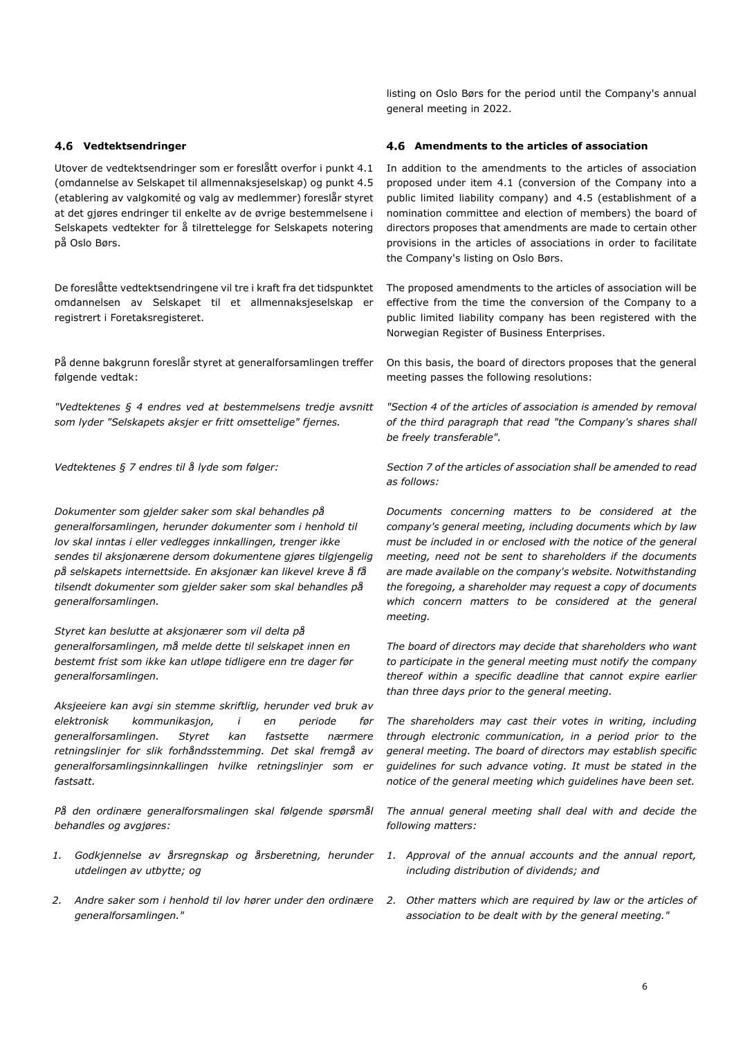Utover de vedtektsendringer som er foreslått overfor i punkt 4.1 (omdannelse av Selskapet til allmennaksjeselskap) og punkt 4.5 (etablering av valgkomité og valg av medlemmer) foreslår styret at det gjøres endringer til enkelte av de øvrige bestemmelsene i Selskapets vedtekter for å tilrettelegge for Selskapets notering på Oslo Børs.

De foreslåtte vedtektsendringene vil tre i kraft fra det tidspunktet omdannelsen av Selskapet til et allmennaksjeselskap er registrert i Foretaksregisteret.

På denne bakgrunn foreslår styret at generalforsamlingen treffer følgende vedtak:

*"Vedtektenes § 4 endres ved at bestemmelsens tredje avsnitt som lyder "Selskapets aksjer er fritt omsettelige" fjernes.*

*Dokumenter som gjelder saker som skal behandles på generalforsamlingen, herunder dokumenter som i henhold til lov skal inntas i eller vedlegges innkallingen, trenger ikke sendes til aksjonærene dersom dokumentene gjøres tilgjengelig på selskapets internettside. En aksjonær kan likevel kreve å få tilsendt dokumenter som gjelder saker som skal behandles på generalforsamlingen.* 

*Styret kan beslutte at aksjonærer som vil delta på generalforsamlingen, må melde dette til selskapet innen en bestemt frist som ikke kan utløpe tidligere enn tre dager før generalforsamlingen.* 

*Aksjeeiere kan avgi sin stemme skriftlig, herunder ved bruk av elektronisk kommunikasjon, i en periode før generalforsamlingen. Styret kan fastsette nærmere retningslinjer for slik forhåndsstemming. Det skal fremgå av generalforsamlingsinnkallingen hvilke retningslinjer som er fastsatt.* 

*På den ordinære generalforsmalingen skal følgende spørsmål behandles og avgjøres:* 

- *1. Godkjennelse av årsregnskap og årsberetning, herunder utdelingen av utbytte; og*
- *2. Andre saker som i henhold til lov hører under den ordinære generalforsamlingen."*

listing on Oslo Børs for the period until the Company's annual general meeting in 2022.

#### **Vedtektsendringer Amendments to the articles of association**

In addition to the amendments to the articles of association proposed under item 4.1 (conversion of the Company into a public limited liability company) and 4.5 (establishment of a nomination committee and election of members) the board of directors proposes that amendments are made to certain other provisions in the articles of associations in order to facilitate the Company's listing on Oslo Børs.

The proposed amendments to the articles of association will be effective from the time the conversion of the Company to a public limited liability company has been registered with the Norwegian Register of Business Enterprises.

On this basis, the board of directors proposes that the general meeting passes the following resolutions:

*"Section 4 of the articles of association is amended by removal of the third paragraph that read "the Company's shares shall be freely transferable".*

*Vedtektenes § 7 endres til å lyde som følger: Section 7 of the articles of association shall be amended to read as follows:* 

> *Documents concerning matters to be considered at the company's general meeting, including documents which by law must be included in or enclosed with the notice of the general meeting, need not be sent to shareholders if the documents are made available on the company's website. Notwithstanding the foregoing, a shareholder may request a copy of documents which concern matters to be considered at the general meeting.*

> *The board of directors may decide that shareholders who want to participate in the general meeting must notify the company thereof within a specific deadline that cannot expire earlier than three days prior to the general meeting.*

> *The shareholders may cast their votes in writing, including through electronic communication, in a period prior to the general meeting. The board of directors may establish specific guidelines for such advance voting. It must be stated in the notice of the general meeting which guidelines have been set.*

> *The annual general meeting shall deal with and decide the following matters:*

- *1. Approval of the annual accounts and the annual report, including distribution of dividends; and*
- *2. Other matters which are required by law or the articles of association to be dealt with by the general meeting."*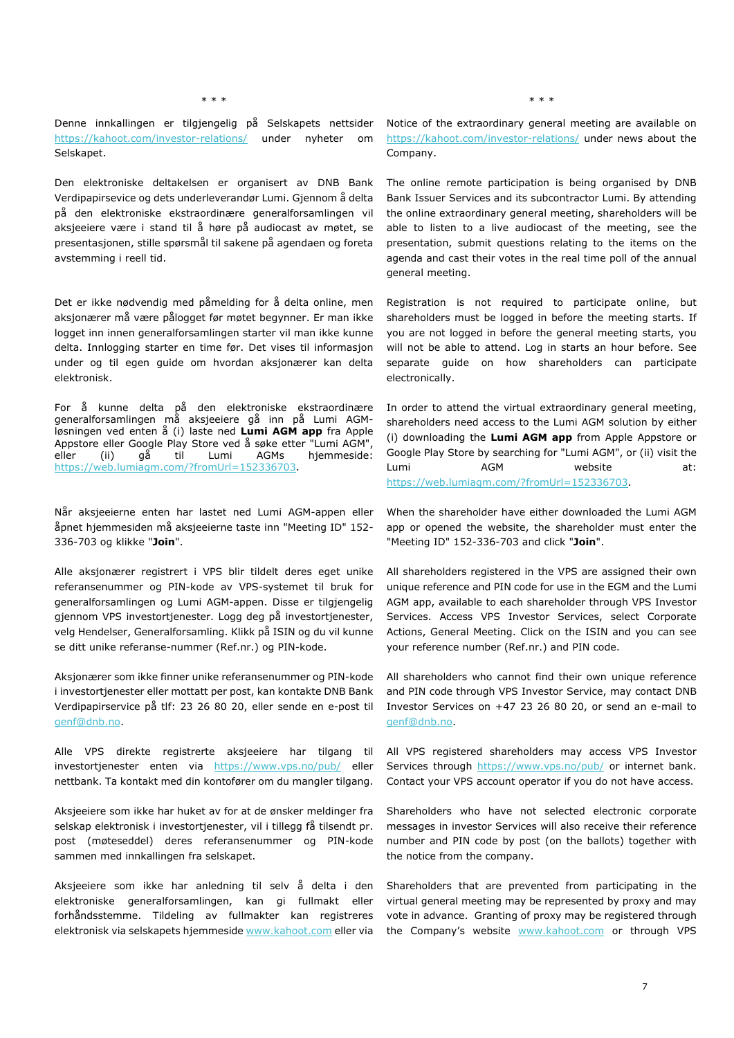Denne innkallingen er tilgjengelig på Selskapets nettsider https://kahoot.com/investor-relations/ under nyheter om Selskapet.

Den elektroniske deltakelsen er organisert av DNB Bank Verdipapirsevice og dets underleverandør Lumi. Gjennom å delta på den elektroniske ekstraordinære generalforsamlingen vil aksjeeiere være i stand til å høre på audiocast av møtet, se presentasjonen, stille spørsmål til sakene på agendaen og foreta avstemming i reell tid.

Det er ikke nødvendig med påmelding for å delta online, men aksjonærer må være pålogget før møtet begynner. Er man ikke logget inn innen generalforsamlingen starter vil man ikke kunne delta. Innlogging starter en time før. Det vises til informasjon under og til egen guide om hvordan aksjonærer kan delta elektronisk.

For å kunne delta på den elektroniske ekstraordinære generalforsamlingen må aksjeeiere gå inn på Lumi AGMløsningen ved enten å (i) laste ned **Lumi AGM app** fra Apple Appstore eller Google Play Store ved å søke etter "Lumi AGM", eller (ii) gå til Lumi AGMs hjemmeside: https://web.lumiagm.com/?fromUrl=152336703.

Når aksjeeierne enten har lastet ned Lumi AGM-appen eller åpnet hjemmesiden må aksjeeierne taste inn "Meeting ID" 152- 336-703 og klikke "**Join**".

Alle aksjonærer registrert i VPS blir tildelt deres eget unike referansenummer og PIN-kode av VPS-systemet til bruk for generalforsamlingen og Lumi AGM-appen. Disse er tilgjengelig gjennom VPS investortjenester. Logg deg på investortjenester, velg Hendelser, Generalforsamling. Klikk på ISIN og du vil kunne se ditt unike referanse-nummer (Ref.nr.) og PIN-kode.

Aksjonærer som ikke finner unike referansenummer og PIN-kode i investortjenester eller mottatt per post, kan kontakte DNB Bank Verdipapirservice på tlf: 23 26 80 20, eller sende en e-post til genf@dnb.no.

Alle VPS direkte registrerte aksjeeiere har tilgang til investortjenester enten via https://www.vps.no/pub/ eller nettbank. Ta kontakt med din kontofører om du mangler tilgang.

Aksjeeiere som ikke har huket av for at de ønsker meldinger fra selskap elektronisk i investortjenester, vil i tillegg få tilsendt pr. post (møteseddel) deres referansenummer og PIN-kode sammen med innkallingen fra selskapet.

Aksjeeiere som ikke har anledning til selv å delta i den elektroniske generalforsamlingen, kan gi fullmakt eller forhåndsstemme. Tildeling av fullmakter kan registreres elektronisk via selskapets hjemmeside www.kahoot.com eller via

\* \* \* \* \* \*

Notice of the extraordinary general meeting are available on https://kahoot.com/investor-relations/ under news about the Company.

The online remote participation is being organised by DNB Bank Issuer Services and its subcontractor Lumi. By attending the online extraordinary general meeting, shareholders will be able to listen to a live audiocast of the meeting, see the presentation, submit questions relating to the items on the agenda and cast their votes in the real time poll of the annual general meeting.

Registration is not required to participate online, but shareholders must be logged in before the meeting starts. If you are not logged in before the general meeting starts, you will not be able to attend. Log in starts an hour before. See separate guide on how shareholders can participate electronically.

In order to attend the virtual extraordinary general meeting, shareholders need access to the Lumi AGM solution by either (i) downloading the **Lumi AGM app** from Apple Appstore or Google Play Store by searching for "Lumi AGM", or (ii) visit the Lumi **AGM** website at: https://web.lumiagm.com/?fromUrl=152336703.

When the shareholder have either downloaded the Lumi AGM app or opened the website, the shareholder must enter the "Meeting ID" 152-336-703 and click "**Join**".

All shareholders registered in the VPS are assigned their own unique reference and PIN code for use in the EGM and the Lumi AGM app, available to each shareholder through VPS Investor Services. Access VPS Investor Services, select Corporate Actions, General Meeting. Click on the ISIN and you can see your reference number (Ref.nr.) and PIN code.

All shareholders who cannot find their own unique reference and PIN code through VPS Investor Service, may contact DNB Investor Services on +47 23 26 80 20, or send an e-mail to genf@dnb.no.

All VPS registered shareholders may access VPS Investor Services through https://www.vps.no/pub/ or internet bank. Contact your VPS account operator if you do not have access.

Shareholders who have not selected electronic corporate messages in investor Services will also receive their reference number and PIN code by post (on the ballots) together with the notice from the company.

Shareholders that are prevented from participating in the virtual general meeting may be represented by proxy and may vote in advance. Granting of proxy may be registered through the Company's website www.kahoot.com or through VPS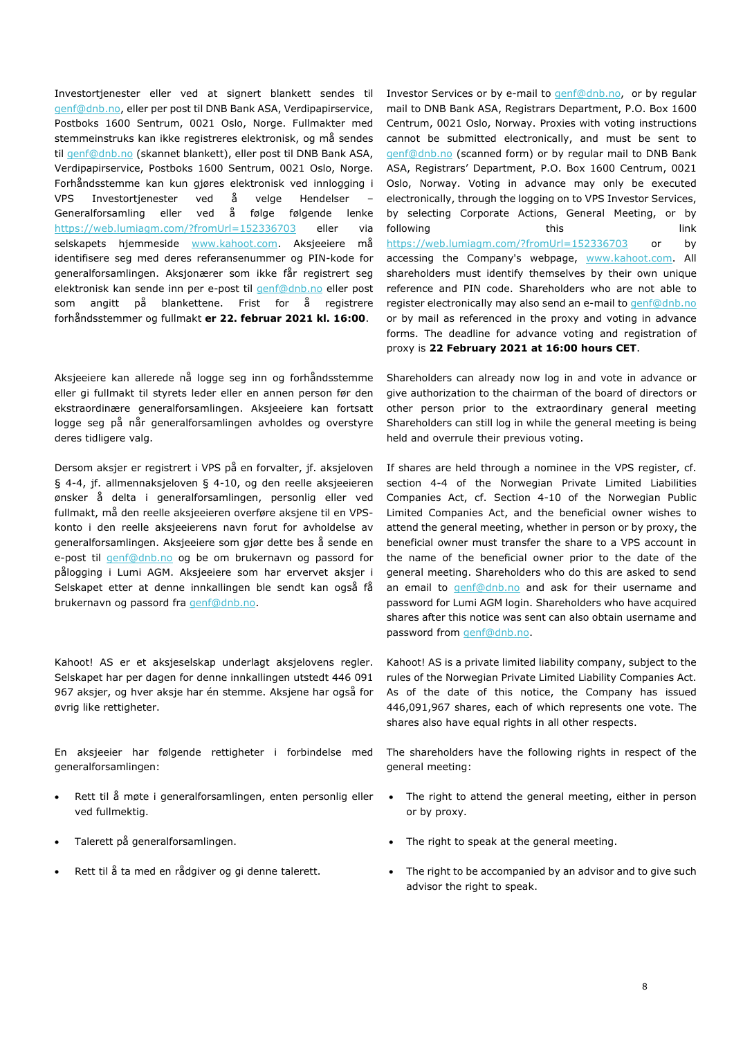Investortjenester eller ved at signert blankett sendes til genf@dnb.no, eller per post til DNB Bank ASA, Verdipapirservice, Postboks 1600 Sentrum, 0021 Oslo, Norge. Fullmakter med stemmeinstruks kan ikke registreres elektronisk, og må sendes til genf@dnb.no (skannet blankett), eller post til DNB Bank ASA, Verdipapirservice, Postboks 1600 Sentrum, 0021 Oslo, Norge. Forhåndsstemme kan kun gjøres elektronisk ved innlogging i VPS Investortjenester ved å velge Hendelser – Generalforsamling eller ved å følge følgende lenke https://web.lumiagm.com/?fromUrl=152336703 eller via selskapets hjemmeside www.kahoot.com. Aksjeeiere må identifisere seg med deres referansenummer og PIN-kode for generalforsamlingen. Aksjonærer som ikke får registrert seg elektronisk kan sende inn per e-post til genf@dnb.no eller post som angitt på blankettene. Frist for å registrere forhåndsstemmer og fullmakt **er 22. februar 2021 kl. 16:00**.

Aksjeeiere kan allerede nå logge seg inn og forhåndsstemme eller gi fullmakt til styrets leder eller en annen person før den ekstraordinære generalforsamlingen. Aksjeeiere kan fortsatt logge seg på når generalforsamlingen avholdes og overstyre deres tidligere valg.

Dersom aksjer er registrert i VPS på en forvalter, jf. aksjeloven § 4-4, jf. allmennaksjeloven § 4-10, og den reelle aksjeeieren ønsker å delta i generalforsamlingen, personlig eller ved fullmakt, må den reelle aksjeeieren overføre aksjene til en VPSkonto i den reelle aksjeeierens navn forut for avholdelse av generalforsamlingen. Aksjeeiere som gjør dette bes å sende en e-post til genf@dnb.no og be om brukernavn og passord for pålogging i Lumi AGM. Aksjeeiere som har ervervet aksjer i Selskapet etter at denne innkallingen ble sendt kan også få brukernavn og passord fra genf@dnb.no.

Kahoot! AS er et aksjeselskap underlagt aksjelovens regler. Selskapet har per dagen for denne innkallingen utstedt 446 091 967 aksjer, og hver aksje har én stemme. Aksjene har også for øvrig like rettigheter.

En aksjeeier har følgende rettigheter i forbindelse med generalforsamlingen:

- Rett til å møte i generalforsamlingen, enten personlig eller ved fullmektig.
- Talerett på generalforsamlingen.
- Rett til å ta med en rådgiver og gi denne talerett.

Investor Services or by e-mail to genf@dnb.no, or by regular mail to DNB Bank ASA, Registrars Department, P.O. Box 1600 Centrum, 0021 Oslo, Norway. Proxies with voting instructions cannot be submitted electronically, and must be sent to genf@dnb.no (scanned form) or by regular mail to DNB Bank ASA, Registrars' Department, P.O. Box 1600 Centrum, 0021 Oslo, Norway. Voting in advance may only be executed electronically, through the logging on to VPS Investor Services, by selecting Corporate Actions, General Meeting, or by following this this this link https://web.lumiagm.com/?fromUrl=152336703 or by accessing the Company's webpage, www.kahoot.com. All shareholders must identify themselves by their own unique reference and PIN code. Shareholders who are not able to register electronically may also send an e-mail to genf@dnb.no or by mail as referenced in the proxy and voting in advance forms. The deadline for advance voting and registration of proxy is **22 February 2021 at 16:00 hours CET**.

Shareholders can already now log in and vote in advance or give authorization to the chairman of the board of directors or other person prior to the extraordinary general meeting Shareholders can still log in while the general meeting is being held and overrule their previous voting.

If shares are held through a nominee in the VPS register, cf. section 4-4 of the Norwegian Private Limited Liabilities Companies Act, cf. Section 4-10 of the Norwegian Public Limited Companies Act, and the beneficial owner wishes to attend the general meeting, whether in person or by proxy, the beneficial owner must transfer the share to a VPS account in the name of the beneficial owner prior to the date of the general meeting. Shareholders who do this are asked to send an email to genf@dnb.no and ask for their username and password for Lumi AGM login. Shareholders who have acquired shares after this notice was sent can also obtain username and password from genf@dnb.no.

Kahoot! AS is a private limited liability company, subject to the rules of the Norwegian Private Limited Liability Companies Act. As of the date of this notice, the Company has issued 446,091,967 shares, each of which represents one vote. The shares also have equal rights in all other respects.

The shareholders have the following rights in respect of the general meeting:

- The right to attend the general meeting, either in person or by proxy.
- The right to speak at the general meeting.
- The right to be accompanied by an advisor and to give such advisor the right to speak.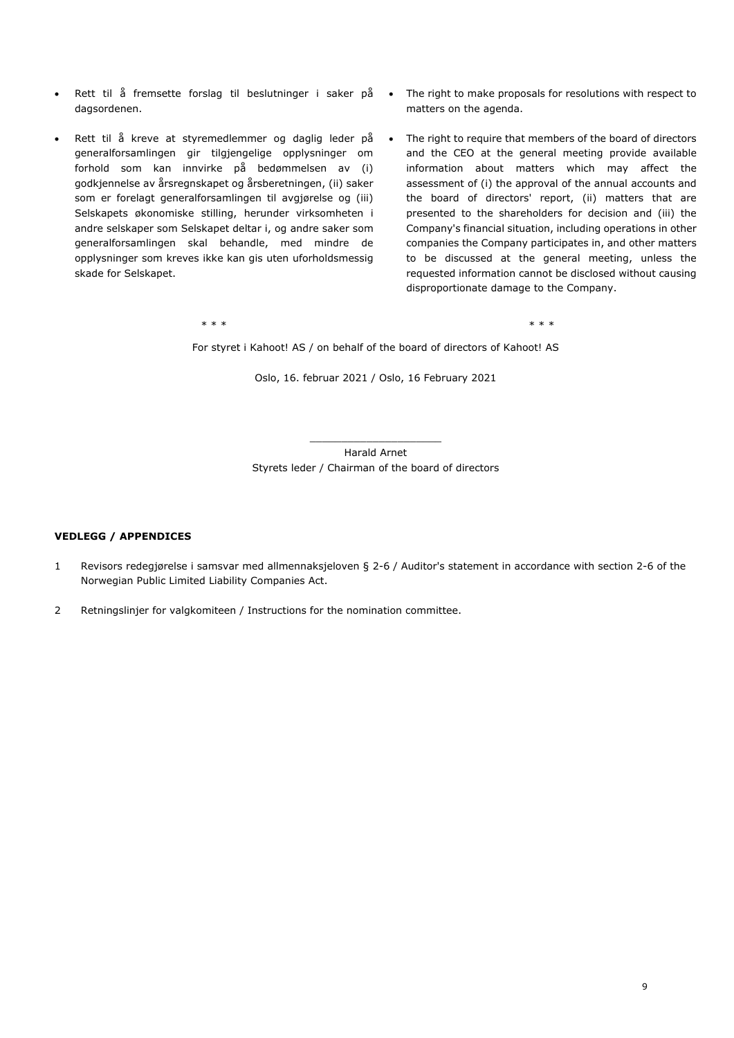- Rett til å fremsette forslag til beslutninger i saker på dagsordenen.
- Rett til å kreve at styremedlemmer og daglig leder på generalforsamlingen gir tilgjengelige opplysninger om forhold som kan innvirke på bedømmelsen av (i) godkjennelse av årsregnskapet og årsberetningen, (ii) saker som er forelagt generalforsamlingen til avgjørelse og (iii) Selskapets økonomiske stilling, herunder virksomheten i andre selskaper som Selskapet deltar i, og andre saker som generalforsamlingen skal behandle, med mindre de opplysninger som kreves ikke kan gis uten uforholdsmessig skade for Selskapet.
- The right to make proposals for resolutions with respect to matters on the agenda.
- The right to require that members of the board of directors and the CEO at the general meeting provide available information about matters which may affect the assessment of (i) the approval of the annual accounts and the board of directors' report, (ii) matters that are presented to the shareholders for decision and (iii) the Company's financial situation, including operations in other companies the Company participates in, and other matters to be discussed at the general meeting, unless the requested information cannot be disclosed without causing disproportionate damage to the Company.

\* \* \* \* \* \* For styret i Kahoot! AS / on behalf of the board of directors of Kahoot! AS

Oslo, 16. februar 2021 / Oslo, 16 February 2021

Harald Arnet Styrets leder / Chairman of the board of directors

#### **VEDLEGG / APPENDICES**

- 1 Revisors redegjørelse i samsvar med allmennaksjeloven § 2-6 / Auditor's statement in accordance with section 2-6 of the Norwegian Public Limited Liability Companies Act.
- 2 Retningslinjer for valgkomiteen / Instructions for the nomination committee.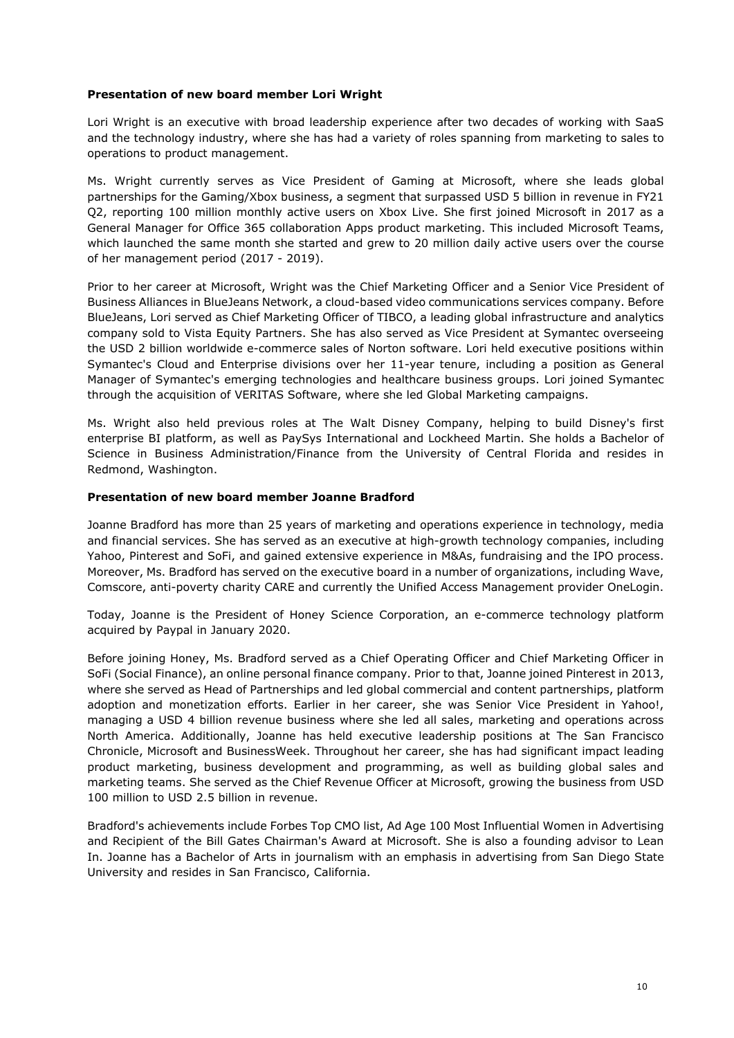#### **Presentation of new board member Lori Wright**

Lori Wright is an executive with broad leadership experience after two decades of working with SaaS and the technology industry, where she has had a variety of roles spanning from marketing to sales to operations to product management.

Ms. Wright currently serves as Vice President of Gaming at Microsoft, where she leads global partnerships for the Gaming/Xbox business, a segment that surpassed USD 5 billion in revenue in FY21 Q2, reporting 100 million monthly active users on Xbox Live. She first joined Microsoft in 2017 as a General Manager for Office 365 collaboration Apps product marketing. This included Microsoft Teams, which launched the same month she started and grew to 20 million daily active users over the course of her management period (2017 - 2019).

Prior to her career at Microsoft, Wright was the Chief Marketing Officer and a Senior Vice President of Business Alliances in BlueJeans Network, a cloud-based video communications services company. Before BlueJeans, Lori served as Chief Marketing Officer of TIBCO, a leading global infrastructure and analytics company sold to Vista Equity Partners. She has also served as Vice President at Symantec overseeing the USD 2 billion worldwide e-commerce sales of Norton software. Lori held executive positions within Symantec's Cloud and Enterprise divisions over her 11-year tenure, including a position as General Manager of Symantec's emerging technologies and healthcare business groups. Lori joined Symantec through the acquisition of VERITAS Software, where she led Global Marketing campaigns.

Ms. Wright also held previous roles at The Walt Disney Company, helping to build Disney's first enterprise BI platform, as well as PaySys International and Lockheed Martin. She holds a Bachelor of Science in Business Administration/Finance from the University of Central Florida and resides in Redmond, Washington.

#### **Presentation of new board member Joanne Bradford**

Joanne Bradford has more than 25 years of marketing and operations experience in technology, media and financial services. She has served as an executive at high-growth technology companies, including Yahoo, Pinterest and SoFi, and gained extensive experience in M&As, fundraising and the IPO process. Moreover, Ms. Bradford has served on the executive board in a number of organizations, including Wave, Comscore, anti-poverty charity CARE and currently the Unified Access Management provider OneLogin.

Today, Joanne is the President of Honey Science Corporation, an e-commerce technology platform acquired by Paypal in January 2020.

Before joining Honey, Ms. Bradford served as a Chief Operating Officer and Chief Marketing Officer in SoFi (Social Finance), an online personal finance company. Prior to that, Joanne joined Pinterest in 2013, where she served as Head of Partnerships and led global commercial and content partnerships, platform adoption and monetization efforts. Earlier in her career, she was Senior Vice President in Yahoo!, managing a USD 4 billion revenue business where she led all sales, marketing and operations across North America. Additionally, Joanne has held executive leadership positions at The San Francisco Chronicle, Microsoft and BusinessWeek. Throughout her career, she has had significant impact leading product marketing, business development and programming, as well as building global sales and marketing teams. She served as the Chief Revenue Officer at Microsoft, growing the business from USD 100 million to USD 2.5 billion in revenue.

Bradford's achievements include Forbes Top CMO list, Ad Age 100 Most Influential Women in Advertising and Recipient of the Bill Gates Chairman's Award at Microsoft. She is also a founding advisor to Lean In. Joanne has a Bachelor of Arts in journalism with an emphasis in advertising from San Diego State University and resides in San Francisco, California.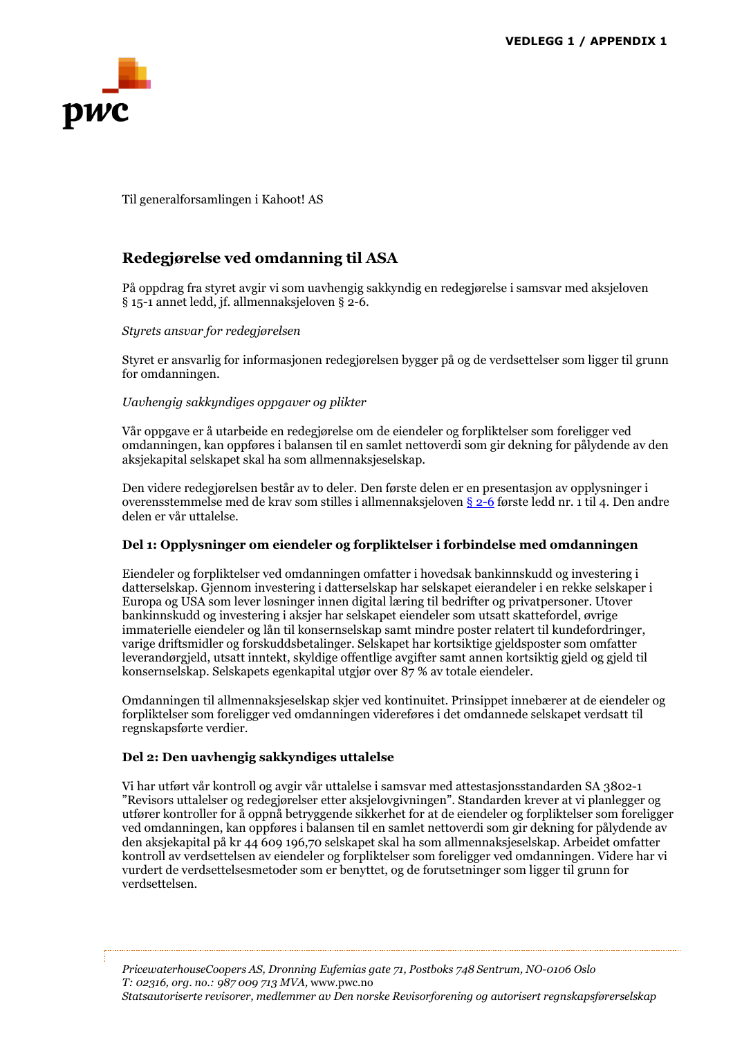

Til generalforsamlingen i Kahoot! AS

## **Redegjørelse ved omdanning til ASA**

På oppdrag fra styret avgir vi som uavhengig sakkyndig en redegjørelse i samsvar med aksjeloven § 15-1 annet ledd, jf. allmennaksjeloven § 2-6.

#### *Styrets ansvar for redegjørelsen*

Styret er ansvarlig for informasjonen redegjørelsen bygger på og de verdsettelser som ligger til grunn for omdanningen.

#### *Uavhengig sakkyndiges oppgaver og plikter*

Vår oppgave er å utarbeide en redegjørelse om de eiendeler og forpliktelser som foreligger ved omdanningen, kan oppføres i balansen til en samlet nettoverdi som gir dekning for pålydende av den aksjekapital selskapet skal ha som allmennaksjeselskap.

Den videre redegjørelsen består av to deler. Den første delen er en presentasjon av opplysninger i overensstemmelse med de krav som stilles i allmennaksjeloven § 2-6 første ledd nr. 1 til 4. Den andre delen er vår uttalelse.

#### **Del 1: Opplysninger om eiendeler og forpliktelser i forbindelse med omdanningen**

Eiendeler og forpliktelser ved omdanningen omfatter i hovedsak bankinnskudd og investering i datterselskap. Gjennom investering i datterselskap har selskapet eierandeler i en rekke selskaper i Europa og USA som lever løsninger innen digital læring til bedrifter og privatpersoner. Utover bankinnskudd og investering i aksjer har selskapet eiendeler som utsatt skattefordel, øvrige immaterielle eiendeler og lån til konsernselskap samt mindre poster relatert til kundefordringer, varige driftsmidler og forskuddsbetalinger. Selskapet har kortsiktige gjeldsposter som omfatter leverandørgjeld, utsatt inntekt, skyldige offentlige avgifter samt annen kortsiktig gjeld og gjeld til konsernselskap. Selskapets egenkapital utgjør over 87 % av totale eiendeler.

Omdanningen til allmennaksjeselskap skjer ved kontinuitet. Prinsippet innebærer at de eiendeler og forpliktelser som foreligger ved omdanningen videreføres i det omdannede selskapet verdsatt til regnskapsførte verdier.

#### **Del 2: Den uavhengig sakkyndiges uttalelse**

Vi har utført vår kontroll og avgir vår uttalelse i samsvar med attestasjonsstandarden SA 3802-1 "Revisors uttalelser og redegjørelser etter aksjelovgivningen". Standarden krever at vi planlegger og utfører kontroller for å oppnå betryggende sikkerhet for at de eiendeler og forpliktelser som foreligger ved omdanningen, kan oppføres i balansen til en samlet nettoverdi som gir dekning for pålydende av den aksjekapital på kr 44 609 196,70 selskapet skal ha som allmennaksjeselskap. Arbeidet omfatter kontroll av verdsettelsen av eiendeler og forpliktelser som foreligger ved omdanningen. Videre har vi vurdert de verdsettelsesmetoder som er benyttet, og de forutsetninger som ligger til grunn for verdsettelsen.

*PricewaterhouseCoopers AS, Dronning Eufemias gate 71, Postboks 748 Sentrum, NO-0106 Oslo T: 02316, org. no.: 987 009 713 MVA,* www.pwc.no *Statsautoriserte revisorer, medlemmer av Den norske Revisorforening og autorisert regnskapsførerselskap*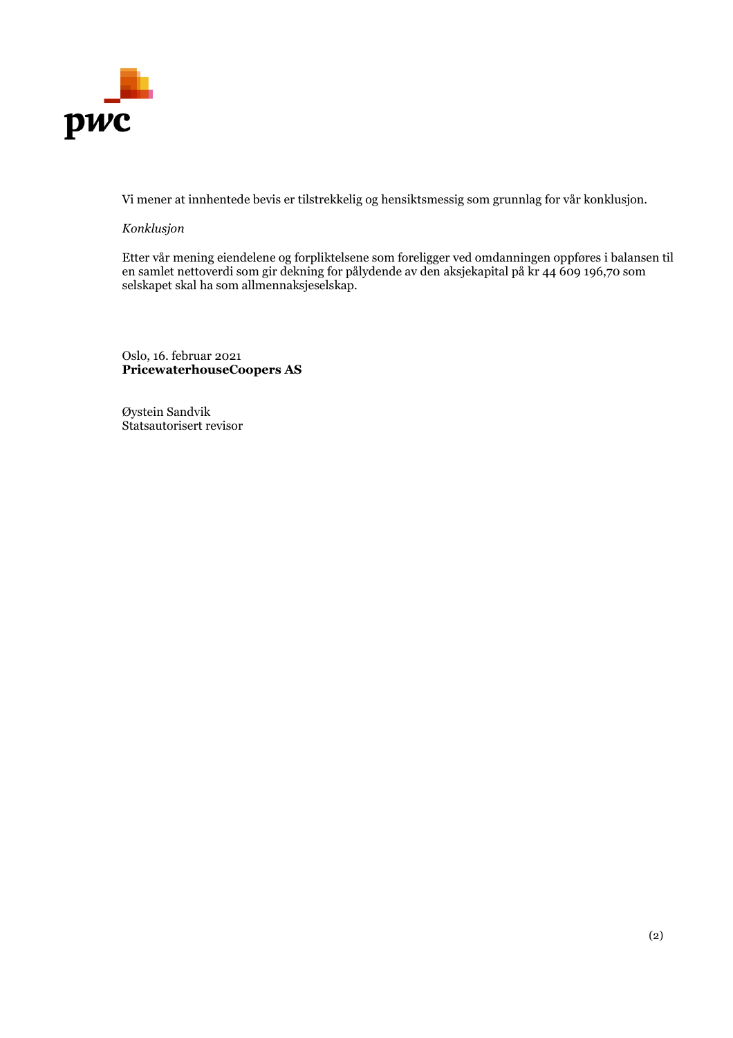

Vi mener at innhentede bevis er tilstrekkelig og hensiktsmessig som grunnlag for vår konklusjon.

#### *Konklusjon*

Etter vår mening eiendelene og forpliktelsene som foreligger ved omdanningen oppføres i balansen til en samlet nettoverdi som gir dekning for pålydende av den aksjekapital på kr 44 609 196,70 som selskapet skal ha som allmennaksjeselskap.

Oslo, 16. februar 2021 **PricewaterhouseCoopers AS**

Øystein Sandvik Statsautorisert revisor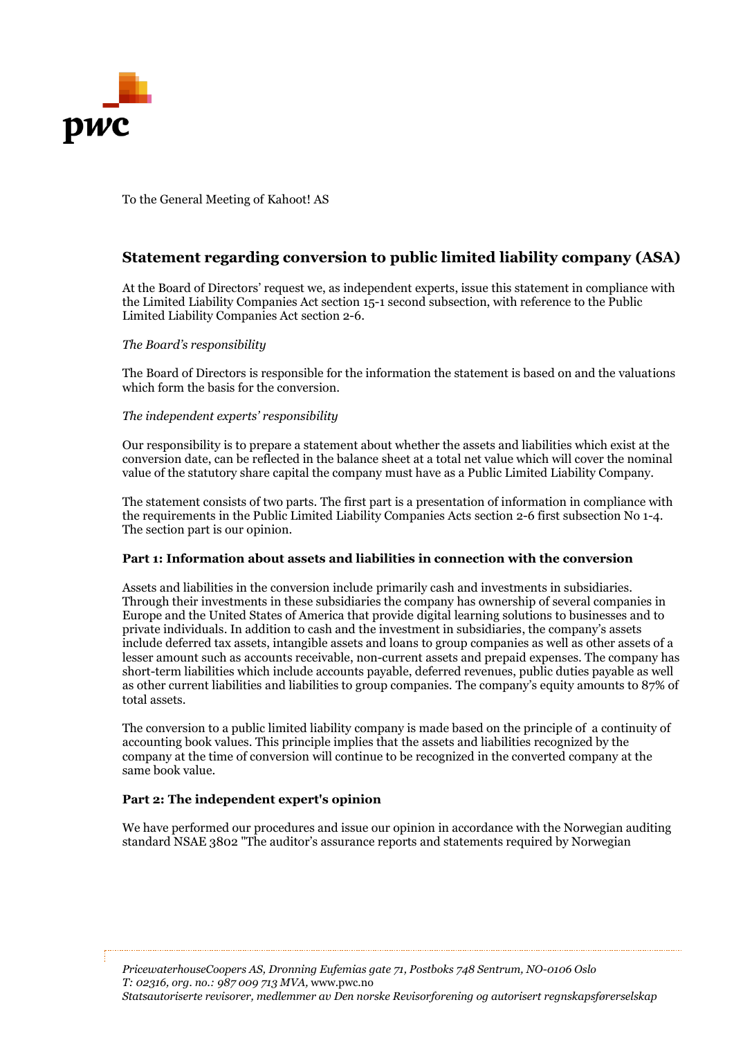

To the General Meeting of Kahoot! AS

## **Statement regarding conversion to public limited liability company (ASA)**

At the Board of Directors' request we, as independent experts, issue this statement in compliance with the Limited Liability Companies Act section 15-1 second subsection, with reference to the Public Limited Liability Companies Act section 2-6.

#### *The Board's responsibility*

The Board of Directors is responsible for the information the statement is based on and the valuations which form the basis for the conversion.

#### *The independent experts' responsibility*

Our responsibility is to prepare a statement about whether the assets and liabilities which exist at the conversion date, can be reflected in the balance sheet at a total net value which will cover the nominal value of the statutory share capital the company must have as a Public Limited Liability Company.

The statement consists of two parts. The first part is a presentation of information in compliance with the requirements in the Public Limited Liability Companies Acts section 2-6 first subsection No 1-4. The section part is our opinion.

#### **Part 1: Information about assets and liabilities in connection with the conversion**

Assets and liabilities in the conversion include primarily cash and investments in subsidiaries. Through their investments in these subsidiaries the company has ownership of several companies in Europe and the United States of America that provide digital learning solutions to businesses and to private individuals. In addition to cash and the investment in subsidiaries, the company's assets include deferred tax assets, intangible assets and loans to group companies as well as other assets of a lesser amount such as accounts receivable, non-current assets and prepaid expenses. The company has short-term liabilities which include accounts payable, deferred revenues, public duties payable as well as other current liabilities and liabilities to group companies. The company's equity amounts to 87% of total assets.

The conversion to a public limited liability company is made based on the principle of a continuity of accounting book values. This principle implies that the assets and liabilities recognized by the company at the time of conversion will continue to be recognized in the converted company at the same book value.

#### **Part 2: The independent expert's opinion**

We have performed our procedures and issue our opinion in accordance with the Norwegian auditing standard NSAE 3802 "The auditor's assurance reports and statements required by Norwegian

*PricewaterhouseCoopers AS, Dronning Eufemias gate 71, Postboks 748 Sentrum, NO-0106 Oslo T: 02316, org. no.: 987 009 713 MVA,* www.pwc.no *Statsautoriserte revisorer, medlemmer av Den norske Revisorforening og autorisert regnskapsførerselskap*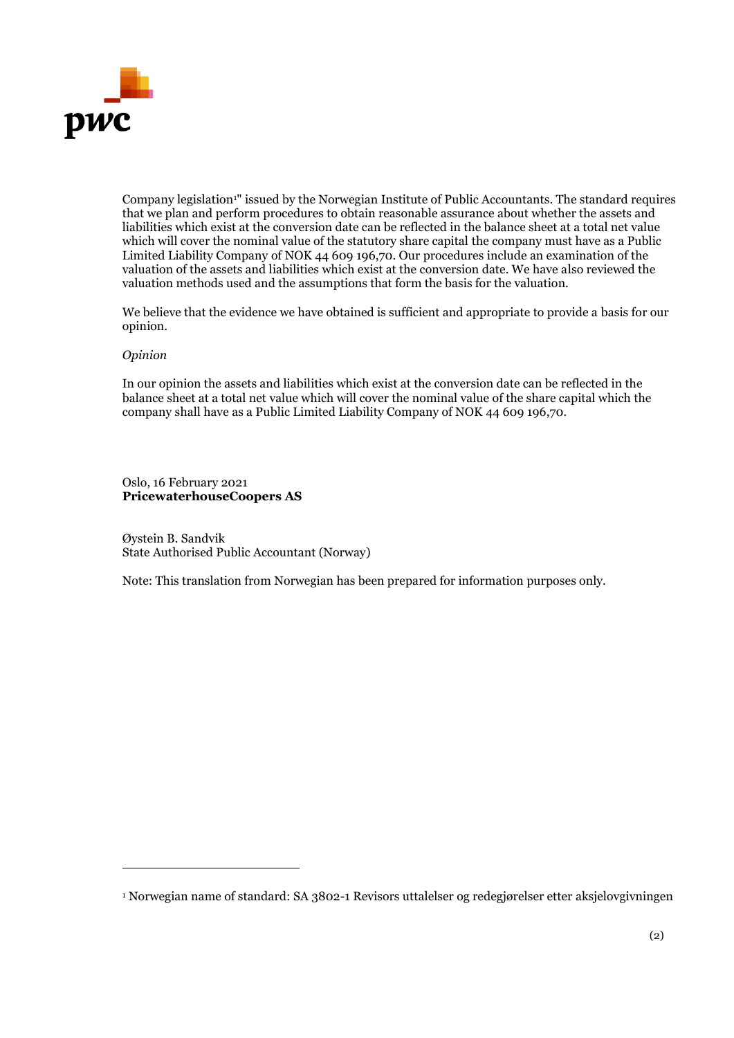

Company legislation<sup>1</sup>" issued by the Norwegian Institute of Public Accountants. The standard requires that we plan and perform procedures to obtain reasonable assurance about whether the assets and liabilities which exist at the conversion date can be reflected in the balance sheet at a total net value which will cover the nominal value of the statutory share capital the company must have as a Public Limited Liability Company of NOK 44 609 196,70. Our procedures include an examination of the valuation of the assets and liabilities which exist at the conversion date. We have also reviewed the valuation methods used and the assumptions that form the basis for the valuation.

We believe that the evidence we have obtained is sufficient and appropriate to provide a basis for our opinion.

#### *Opinion*

In our opinion the assets and liabilities which exist at the conversion date can be reflected in the balance sheet at a total net value which will cover the nominal value of the share capital which the company shall have as a Public Limited Liability Company of NOK 44 609 196,70.

Oslo, 16 February 2021 **PricewaterhouseCoopers AS**

Øystein B. Sandvik State Authorised Public Accountant (Norway)

Note: This translation from Norwegian has been prepared for information purposes only.

<sup>1</sup> Norwegian name of standard: SA 3802-1 Revisors uttalelser og redegjørelser etter aksjelovgivningen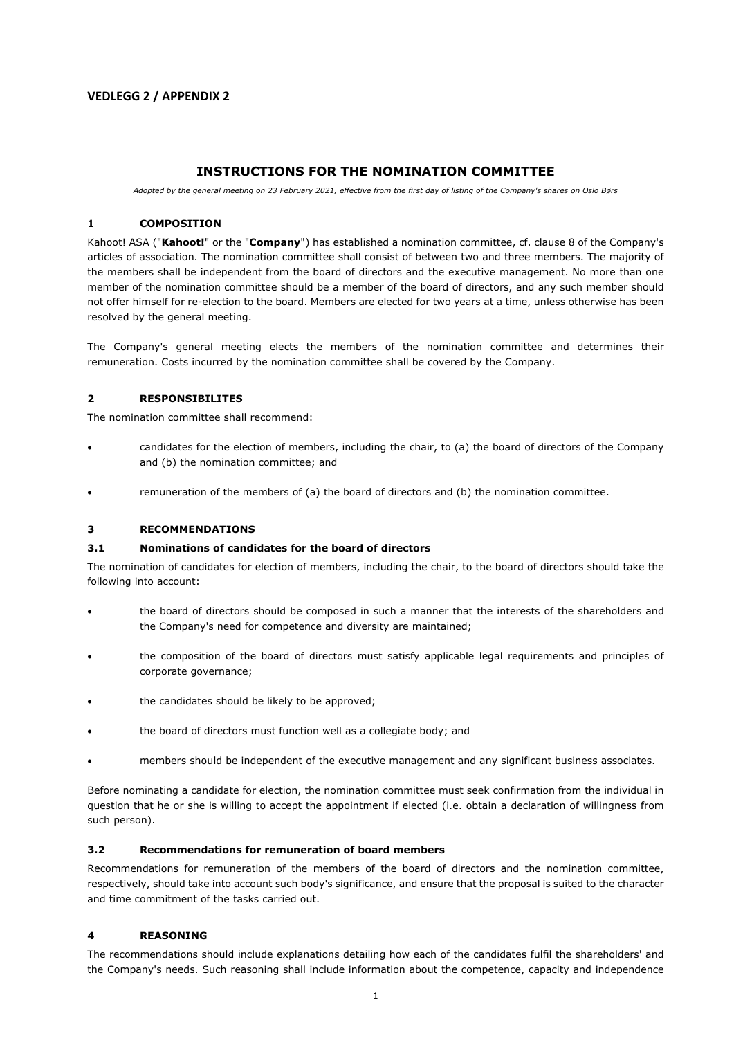#### **VEDLEGG 2 / APPENDIX 2**

#### **INSTRUCTIONS FOR THE NOMINATION COMMITTEE**

*Adopted by the general meeting on 23 February 2021, effective from the first day of listing of the Company's shares on Oslo Børs* 

#### **1 COMPOSITION**

Kahoot! ASA ("**Kahoot!**" or the "**Company**") has established a nomination committee, cf. clause 8 of the Company's articles of association. The nomination committee shall consist of between two and three members. The majority of the members shall be independent from the board of directors and the executive management. No more than one member of the nomination committee should be a member of the board of directors, and any such member should not offer himself for re-election to the board. Members are elected for two years at a time, unless otherwise has been resolved by the general meeting.

The Company's general meeting elects the members of the nomination committee and determines their remuneration. Costs incurred by the nomination committee shall be covered by the Company.

#### **2 RESPONSIBILITES**

The nomination committee shall recommend:

- candidates for the election of members, including the chair, to (a) the board of directors of the Company and (b) the nomination committee; and
- remuneration of the members of (a) the board of directors and (b) the nomination committee.

#### **3 RECOMMENDATIONS**

#### **3.1 Nominations of candidates for the board of directors**

The nomination of candidates for election of members, including the chair, to the board of directors should take the following into account:

- the board of directors should be composed in such a manner that the interests of the shareholders and the Company's need for competence and diversity are maintained;
- the composition of the board of directors must satisfy applicable legal requirements and principles of corporate governance;
- the candidates should be likely to be approved;
- the board of directors must function well as a collegiate body; and
- members should be independent of the executive management and any significant business associates.

Before nominating a candidate for election, the nomination committee must seek confirmation from the individual in question that he or she is willing to accept the appointment if elected (i.e. obtain a declaration of willingness from such person).

#### **3.2 Recommendations for remuneration of board members**

Recommendations for remuneration of the members of the board of directors and the nomination committee, respectively, should take into account such body's significance, and ensure that the proposal is suited to the character and time commitment of the tasks carried out.

#### **4 REASONING**

The recommendations should include explanations detailing how each of the candidates fulfil the shareholders' and the Company's needs. Such reasoning shall include information about the competence, capacity and independence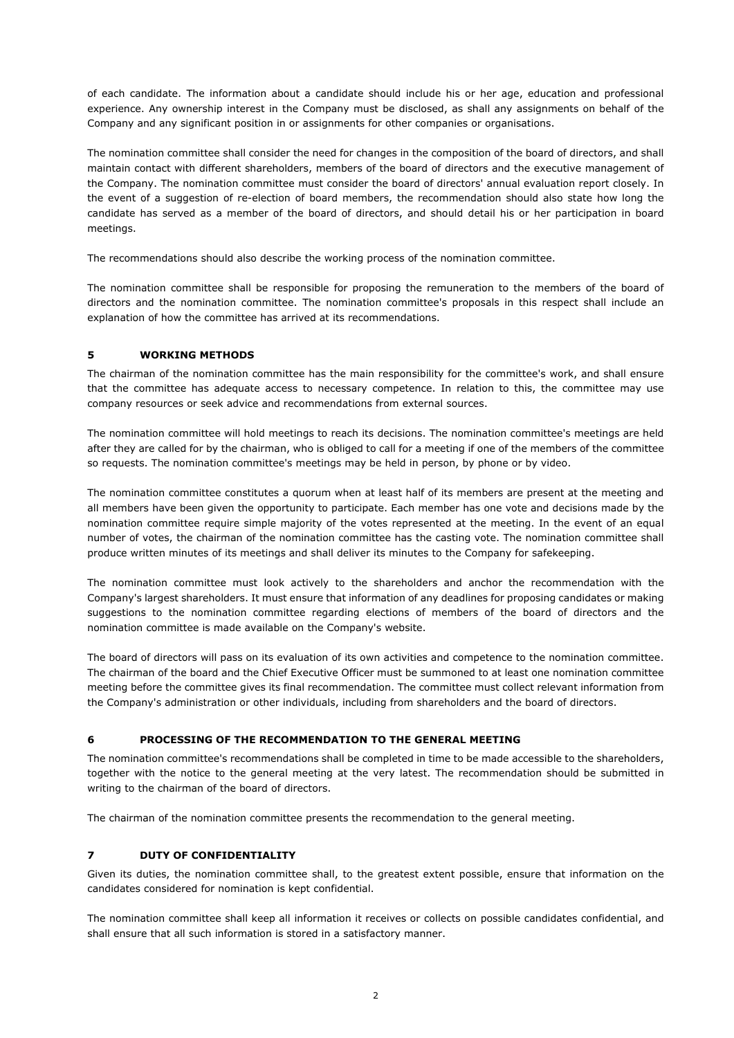of each candidate. The information about a candidate should include his or her age, education and professional experience. Any ownership interest in the Company must be disclosed, as shall any assignments on behalf of the Company and any significant position in or assignments for other companies or organisations.

The nomination committee shall consider the need for changes in the composition of the board of directors, and shall maintain contact with different shareholders, members of the board of directors and the executive management of the Company. The nomination committee must consider the board of directors' annual evaluation report closely. In the event of a suggestion of re-election of board members, the recommendation should also state how long the candidate has served as a member of the board of directors, and should detail his or her participation in board meetings.

The recommendations should also describe the working process of the nomination committee.

The nomination committee shall be responsible for proposing the remuneration to the members of the board of directors and the nomination committee. The nomination committee's proposals in this respect shall include an explanation of how the committee has arrived at its recommendations.

#### **5 WORKING METHODS**

The chairman of the nomination committee has the main responsibility for the committee's work, and shall ensure that the committee has adequate access to necessary competence. In relation to this, the committee may use company resources or seek advice and recommendations from external sources.

The nomination committee will hold meetings to reach its decisions. The nomination committee's meetings are held after they are called for by the chairman, who is obliged to call for a meeting if one of the members of the committee so requests. The nomination committee's meetings may be held in person, by phone or by video.

The nomination committee constitutes a quorum when at least half of its members are present at the meeting and all members have been given the opportunity to participate. Each member has one vote and decisions made by the nomination committee require simple majority of the votes represented at the meeting. In the event of an equal number of votes, the chairman of the nomination committee has the casting vote. The nomination committee shall produce written minutes of its meetings and shall deliver its minutes to the Company for safekeeping.

The nomination committee must look actively to the shareholders and anchor the recommendation with the Company's largest shareholders. It must ensure that information of any deadlines for proposing candidates or making suggestions to the nomination committee regarding elections of members of the board of directors and the nomination committee is made available on the Company's website.

The board of directors will pass on its evaluation of its own activities and competence to the nomination committee. The chairman of the board and the Chief Executive Officer must be summoned to at least one nomination committee meeting before the committee gives its final recommendation. The committee must collect relevant information from the Company's administration or other individuals, including from shareholders and the board of directors.

#### **6 PROCESSING OF THE RECOMMENDATION TO THE GENERAL MEETING**

The nomination committee's recommendations shall be completed in time to be made accessible to the shareholders, together with the notice to the general meeting at the very latest. The recommendation should be submitted in writing to the chairman of the board of directors.

The chairman of the nomination committee presents the recommendation to the general meeting.

#### **7 DUTY OF CONFIDENTIALITY**

Given its duties, the nomination committee shall, to the greatest extent possible, ensure that information on the candidates considered for nomination is kept confidential.

The nomination committee shall keep all information it receives or collects on possible candidates confidential, and shall ensure that all such information is stored in a satisfactory manner.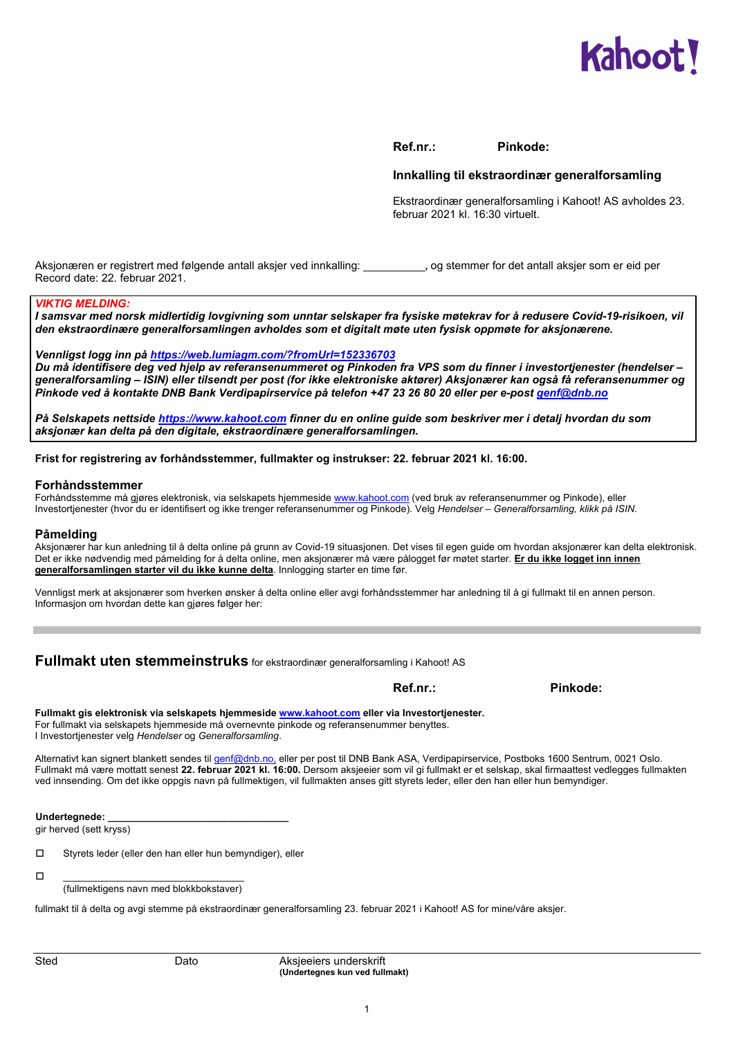

**Ref.nr.: Pinkode:** 

#### **Innkalling til ekstraordinær generalforsamling**

Ekstraordinær generalforsamling i Kahoot! AS avholdes 23. februar 2021 kl. 16:30 virtuelt.

Aksjonæren er registrert med følgende antall aksjer ved innkalling: \_\_\_\_\_\_\_\_\_\_**,** og stemmer for det antall aksjer som er eid per Record date: 22. februar 2021.

#### *VIKTIG MELDING:*

*I samsvar med norsk midlertidig lovgivning som unntar selskaper fra fysiske møtekrav for å redusere Covid-19-risikoen, vil den ekstraordinære generalforsamlingen avholdes som et digitalt møte uten fysisk oppmøte for aksjonærene.* 

*Vennligst logg inn på https://web.lumiagm.com/?fromUrl=152336703*

*Du må identifisere deg ved hjelp av referansenummeret og Pinkoden fra VPS som du finner i investortjenester (hendelser – generalforsamling – ISIN) eller tilsendt per post (for ikke elektroniske aktører) Aksjonærer kan også få referansenummer og Pinkode ved å kontakte DNB Bank Verdipapirservice på telefon +47 23 26 80 20 eller per e-post genf@dnb.no*

*På Selskapets nettside https://www.kahoot.com finner du en online guide som beskriver mer i detalj hvordan du som aksjonær kan delta på den digitale, ekstraordinære generalforsamlingen.* 

**Frist for registrering av forhåndsstemmer, fullmakter og instrukser: 22. februar 2021 kl. 16:00.** 

#### **Forhåndsstemmer**

Forhåndsstemme må gjøres elektronisk, via selskapets hjemmeside www.kahoot.com (ved bruk av referansenummer og Pinkode), eller Investortjenester (hvor du er identifisert og ikke trenger referansenummer og Pinkode). Velg *Hendelser* – *Generalforsamling, klikk på ISIN*.

#### **Påmelding**

Aksjonærer har kun anledning til å delta online på grunn av Covid-19 situasjonen. Det vises til egen guide om hvordan aksjonærer kan delta elektronisk. Det er ikke nødvendig med påmelding for å delta online, men aksjonærer må være pålogget før møtet starter. **Er du ikke logget inn innen generalforsamlingen starter vil du ikke kunne delta**. Innlogging starter en time før.

Vennligst merk at aksjonærer som hverken ønsker å delta online eller avgi forhåndsstemmer har anledning til å gi fullmakt til en annen person. Informasjon om hvordan dette kan gjøres følger her:

**Fullmakt uten stemmeinstruks** for ekstraordinær generalforsamling i Kahoot! AS

 **Ref.nr.: Pinkode:** 

**Fullmakt gis elektronisk via selskapets hjemmeside www.kahoot.com eller via Investortjenester.** For fullmakt via selskapets hjemmeside må overnevnte pinkode og referansenummer benyttes. I Investortjenester velg *Hendelser* og *Generalforsamling*.

Alternativt kan signert blankett sendes til genf@dnb.no, eller per post til DNB Bank ASA, Verdipapirservice, Postboks 1600 Sentrum, 0021 Oslo. Fullmakt må være mottatt senest **22. februar 2021 kl. 16:00.** Dersom aksjeeier som vil gi fullmakt er et selskap, skal firmaattest vedlegges fullmakten ved innsending. Om det ikke oppgis navn på fullmektigen, vil fullmakten anses gitt styrets leder, eller den han eller hun bemyndiger.

**Undertegnede: \_\_\_\_\_\_\_\_\_\_\_\_\_\_\_\_\_\_\_\_\_\_\_\_\_\_\_\_\_\_\_\_\_** 

gir herved (sett kryss)

Styrets leder (eller den han eller hun bemyndiger), eller

\_\_\_\_\_\_\_\_\_\_\_\_\_\_\_\_\_\_\_\_\_\_\_\_\_\_\_\_\_\_\_\_\_

(fullmektigens navn med blokkbokstaver)

fullmakt til å delta og avgi stemme på ekstraordinær generalforsamling 23. februar 2021 i Kahoot! AS for mine/våre aksjer.

Sted Dato Dato Aksjeeiers underskrift  **(Undertegnes kun ved fullmakt)**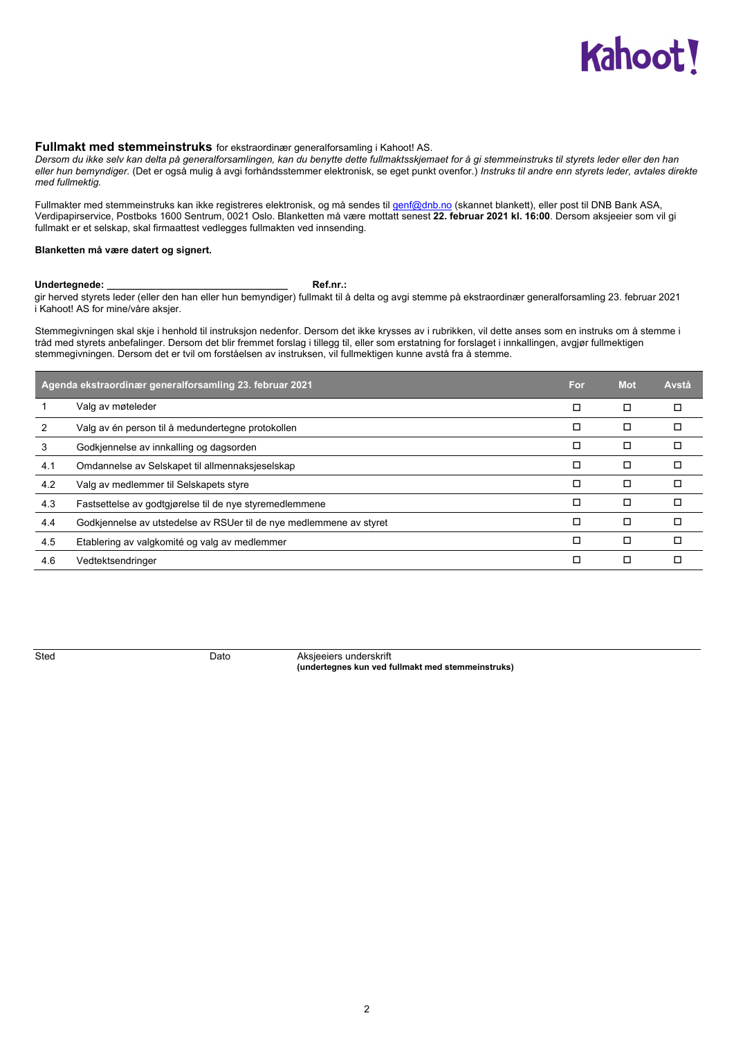# **Kahoot**

#### **Fullmakt med stemmeinstruks** for ekstraordinær generalforsamling i Kahoot! AS.

*Dersom du ikke selv kan delta på generalforsamlingen, kan du benytte dette fullmaktsskjemaet for å gi stemmeinstruks til styrets leder eller den han eller hun bemyndiger.* (Det er også mulig å avgi forhåndsstemmer elektronisk, se eget punkt ovenfor.) *Instruks til andre enn styrets leder, avtales direkte med fullmektig.* 

Fullmakter med stemmeinstruks kan ikke registreres elektronisk, og må sendes til genf@dnb.no (skannet blankett), eller post til DNB Bank ASA, Verdipapirservice, Postboks 1600 Sentrum, 0021 Oslo. Blanketten må være mottatt senest **22. februar 2021 kl. 16:00**. Dersom aksjeeier som vil gi fullmakt er et selskap, skal firmaattest vedlegges fullmakten ved innsending.

#### **Blanketten må være datert og signert.**

#### **Undertegnede: \_\_\_\_\_\_\_\_\_\_\_\_\_\_\_\_\_\_\_\_\_\_\_\_\_\_\_\_\_\_\_\_\_ Ref.nr.:**

gir herved styrets leder (eller den han eller hun bemyndiger) fullmakt til å delta og avgi stemme på ekstraordinær generalforsamling 23. februar 2021 i Kahoot! AS for mine/våre aksjer.

Stemmegivningen skal skje i henhold til instruksjon nedenfor. Dersom det ikke krysses av i rubrikken, vil dette anses som en instruks om å stemme i tråd med styrets anbefalinger. Dersom det blir fremmet forslag i tillegg til, eller som erstatning for forslaget i innkallingen, avgjør fullmektigen stemmegivningen. Dersom det er tvil om forståelsen av instruksen, vil fullmektigen kunne avstå fra å stemme.

|     | Agenda ekstraordinær generalforsamling 23. februar 2021             | <b>For</b> | <b>Mot</b> | Avstå |
|-----|---------------------------------------------------------------------|------------|------------|-------|
|     | Valg av møteleder                                                   | □          | □          | □     |
|     | Valg av én person til å medundertegne protokollen                   | □          | □          | п     |
| 3   | Godkjennelse av innkalling og dagsorden                             | □          | □          | П     |
| 4.1 | Omdannelse av Selskapet til allmennaksjeselskap                     | П          | □          | п     |
| 4.2 | Valg av medlemmer til Selskapets styre                              | □          | □          | П     |
| 4.3 | Fastsettelse av godtgjørelse til de nye styremedlemmene             | П          | □          | п     |
| 4.4 | Godkjennelse av utstedelse av RSUer til de nye medlemmene av styret | П          | $\Box$     | □     |
| 4.5 | Etablering av valgkomité og valg av medlemmer                       | П          | □          | □     |
| 4.6 | Vedtektsendringer                                                   | □          | □          | □     |

**Sted Dato** Dato Aksjeeiers underskrift **(undertegnes kun ved fullmakt med stemmeinstruks)**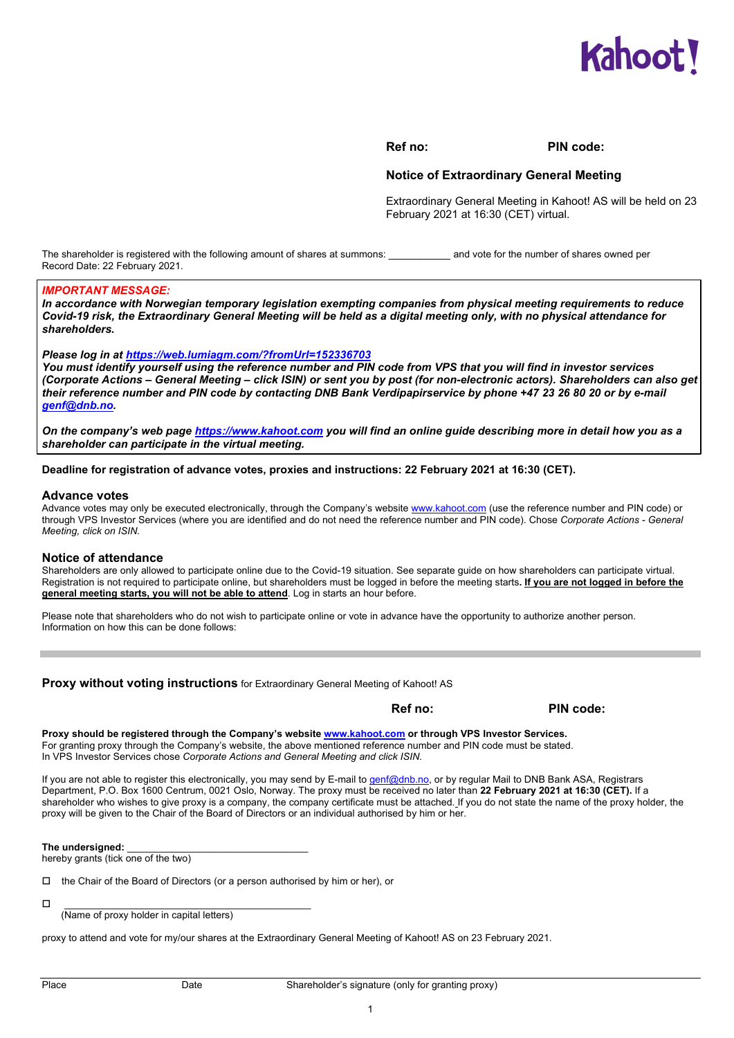

#### **Ref no: PIN code:**

#### **Notice of Extraordinary General Meeting**

Extraordinary General Meeting in Kahoot! AS will be held on 23 February 2021 at 16:30 (CET) virtual.

The shareholder is registered with the following amount of shares at summons: \_\_\_\_\_\_\_\_\_\_\_\_\_ and vote for the number of shares owned per Record Date: 22 February 2021.

#### *IMPORTANT MESSAGE:*

*In accordance with Norwegian temporary legislation exempting companies from physical meeting requirements to reduce Covid-19 risk, the Extraordinary General Meeting will be held as a digital meeting only, with no physical attendance for shareholders.* 

#### *Please log in at https://web.lumiagm.com/?fromUrl=152336703*

*You must identify yourself using the reference number and PIN code from VPS that you will find in investor services (Corporate Actions – General Meeting – click ISIN) or sent you by post (for non-electronic actors). Shareholders can also get their reference number and PIN code by contacting DNB Bank Verdipapirservice by phone +47 23 26 80 20 or by e-mail genf@dnb.no.* 

*On the company's web page https://www.kahoot.com you will find an online guide describing more in detail how you as a shareholder can participate in the virtual meeting.* 

**Deadline for registration of advance votes, proxies and instructions: 22 February 2021 at 16:30 (CET).** 

#### **Advance votes**

Advance votes may only be executed electronically, through the Company's website www.kahoot.com (use the reference number and PIN code) or through VPS Investor Services (where you are identified and do not need the reference number and PIN code). Chose *Corporate Actions - General Meeting, click on ISIN.*

#### **Notice of attendance**

Shareholders are only allowed to participate online due to the Covid-19 situation. See separate guide on how shareholders can participate virtual. Registration is not required to participate online, but shareholders must be logged in before the meeting starts**. If you are not logged in before the general meeting starts, you will not be able to attend**. Log in starts an hour before.

Please note that shareholders who do not wish to participate online or vote in advance have the opportunity to authorize another person. Information on how this can be done follows:

**Proxy without voting instructions** for Extraordinary General Meeting of Kahoot! AS

**PIN code:** PIN code: PIN code: PIN code: PIN code:

**Proxy should be registered through the Company's website www.kahoot.com or through VPS Investor Services.**  For granting proxy through the Company's website, the above mentioned reference number and PIN code must be stated. In VPS Investor Services chose *Corporate Actions and General Meeting and click ISIN.*

If you are not able to register this electronically, you may send by E-mail to genf@dnb.no, or by regular Mail to DNB Bank ASA, Registrars Department, P.O. Box 1600 Centrum, 0021 Oslo, Norway. The proxy must be received no later than **22 February 2021 at 16:30 (CET).** If a shareholder who wishes to give proxy is a company, the company certificate must be attached. If you do not state the name of the proxy holder, the proxy will be given to the Chair of the Board of Directors or an individual authorised by him or her.

The undersigned:

hereby grants (tick one of the two)

 $\Box$  the Chair of the Board of Directors (or a person authorised by him or her), or

 $\Box$ 

(Name of proxy holder in capital letters)

proxy to attend and vote for my/our shares at the Extraordinary General Meeting of Kahoot! AS on 23 February 2021.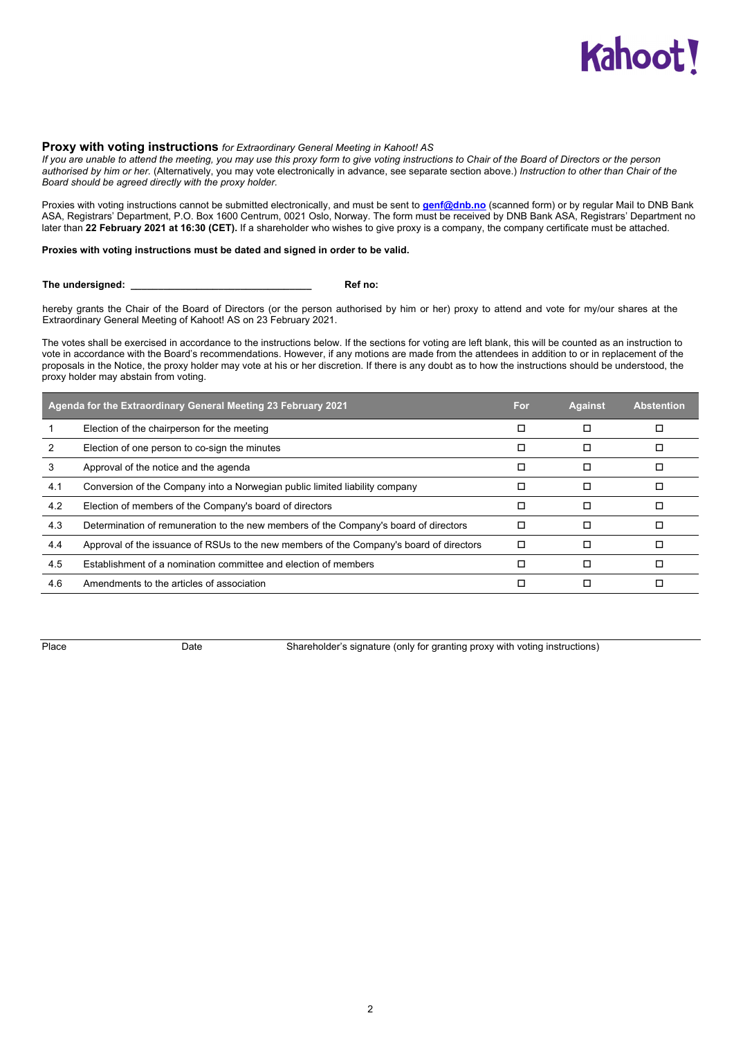# **Kahoot**

#### **Proxy with voting instructions** *for Extraordinary General Meeting in Kahoot! AS*

*If you are unable to attend the meeting, you may use this proxy form to give voting instructions to Chair of the Board of Directors or the person authorised by him or her.* (Alternatively, you may vote electronically in advance, see separate section above.) *Instruction to other than Chair of the Board should be agreed directly with the proxy holder.*

Proxies with voting instructions cannot be submitted electronically, and must be sent to **genf@dnb.no** (scanned form) or by regular Mail to DNB Bank ASA, Registrars' Department, P.O. Box 1600 Centrum, 0021 Oslo, Norway. The form must be received by DNB Bank ASA, Registrars' Department no later than **22 February 2021 at 16:30 (CET).** If a shareholder who wishes to give proxy is a company, the company certificate must be attached.

#### **Proxies with voting instructions must be dated and signed in order to be valid.**

**The undersigned: \_\_\_\_\_\_\_\_\_\_\_\_\_\_\_\_\_\_\_\_\_\_\_\_\_\_\_\_\_\_\_\_\_ Ref no:** 

hereby grants the Chair of the Board of Directors (or the person authorised by him or her) proxy to attend and vote for my/our shares at the Extraordinary General Meeting of Kahoot! AS on 23 February 2021.

The votes shall be exercised in accordance to the instructions below. If the sections for voting are left blank, this will be counted as an instruction to vote in accordance with the Board's recommendations. However, if any motions are made from the attendees in addition to or in replacement of the proposals in the Notice, the proxy holder may vote at his or her discretion. If there is any doubt as to how the instructions should be understood, the proxy holder may abstain from voting.

| Agenda for the Extraordinary General Meeting 23 February 2021 |                                                                                         | For | <b>Against</b> | <b>Abstention</b> |
|---------------------------------------------------------------|-----------------------------------------------------------------------------------------|-----|----------------|-------------------|
|                                                               | Election of the chairperson for the meeting                                             | □   |                |                   |
|                                                               | Election of one person to co-sign the minutes                                           | □   |                |                   |
| 3                                                             | Approval of the notice and the agenda                                                   | ◻   |                |                   |
| 4.1                                                           | Conversion of the Company into a Norwegian public limited liability company             | □   |                |                   |
| 4.2                                                           | Election of members of the Company's board of directors                                 | □   |                |                   |
| 4.3                                                           | Determination of remuneration to the new members of the Company's board of directors    | П   |                |                   |
| 4.4                                                           | Approval of the issuance of RSUs to the new members of the Company's board of directors | □   |                |                   |
| 4.5                                                           | Establishment of a nomination committee and election of members                         | п   |                |                   |
| 4.6                                                           | Amendments to the articles of association                                               | □   |                |                   |
|                                                               |                                                                                         |     |                |                   |

Place **Date** Date Shareholder's signature (only for granting proxy with voting instructions)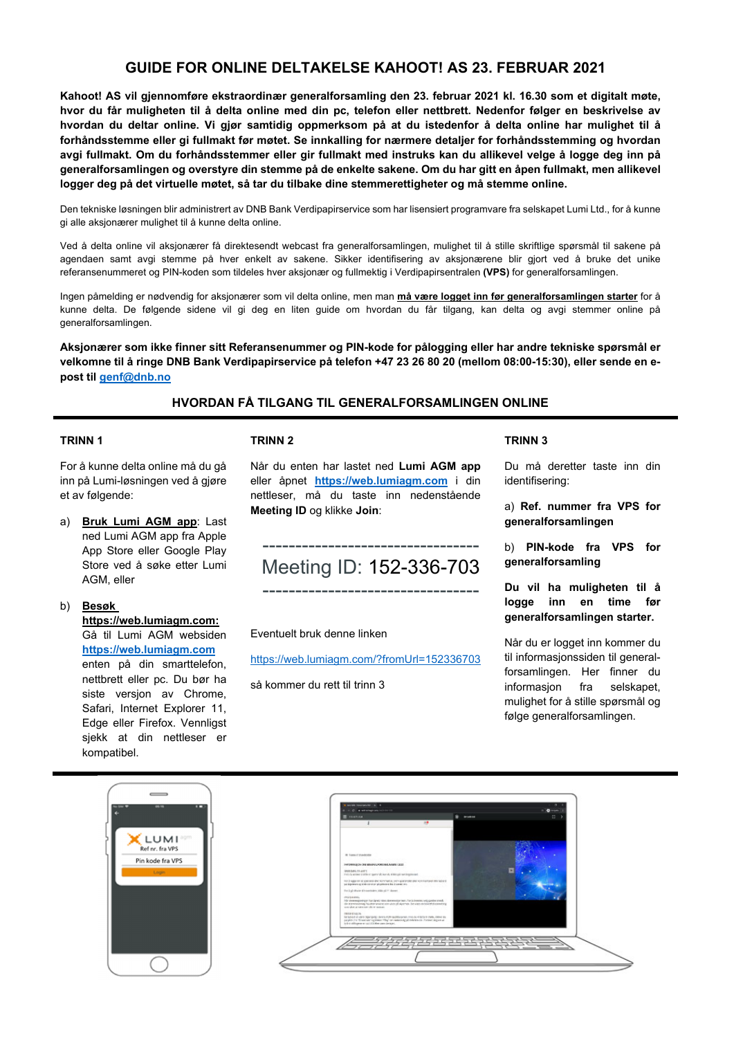## **GUIDE FOR ONLINE DELTAKELSE KAHOOT! AS 23. FEBRUAR 2021**

**Kahoot! AS vil gjennomføre ekstraordinær generalforsamling den 23. februar 2021 kl. 16.30 som et digitalt møte, hvor du får muligheten til å delta online med din pc, telefon eller nettbrett. Nedenfor følger en beskrivelse av hvordan du deltar online. Vi gjør samtidig oppmerksom på at du istedenfor å delta online har mulighet til å forhåndsstemme eller gi fullmakt før møtet. Se innkalling for nærmere detaljer for forhåndsstemming og hvordan avgi fullmakt. Om du forhåndsstemmer eller gir fullmakt med instruks kan du allikevel velge å logge deg inn på generalforsamlingen og overstyre din stemme på de enkelte sakene. Om du har gitt en åpen fullmakt, men allikevel logger deg på det virtuelle møtet, så tar du tilbake dine stemmerettigheter og må stemme online.** 

Den tekniske løsningen blir administrert av DNB Bank Verdipapirservice som har lisensiert programvare fra selskapet Lumi Ltd., for å kunne gi alle aksjonærer mulighet til å kunne delta online.

Ved å delta online vil aksjonærer få direktesendt webcast fra generalforsamlingen, mulighet til å stille skriftlige spørsmål til sakene på agendaen samt avgi stemme på hver enkelt av sakene. Sikker identifisering av aksjonærene blir gjort ved å bruke det unike referansenummeret og PIN-koden som tildeles hver aksjonær og fullmektig i Verdipapirsentralen **(VPS)** for generalforsamlingen.

Ingen påmelding er nødvendig for aksjonærer som vil delta online, men man **må være logget inn før generalforsamlingen starter** for å kunne delta. De følgende sidene vil gi deg en liten guide om hvordan du får tilgang, kan delta og avgi stemmer online på generalforsamlingen.

**Aksjonærer som ikke finner sitt Referansenummer og PIN-kode for pålogging eller har andre tekniske spørsmål er velkomne til å ringe DNB Bank Verdipapirservice på telefon +47 23 26 80 20 (mellom 08:00-15:30), eller sende en epost til genf@dnb.no**

### **HVORDAN FÅ TILGANG TIL GENERALFORSAMLINGEN ONLINE**

#### **TRINN 1**

For å kunne delta online må du gå inn på Lumi-løsningen ved å gjøre et av følgende:

- a) **Bruk Lumi AGM app**: Last ned Lumi AGM app fra Apple App Store eller Google Play Store ved å søke etter Lumi AGM, eller
- b) **Besøk https://web.lumiagm.com:** Gå til Lumi AGM websiden **https://web.lumiagm.com** enten på din smarttelefon, nettbrett eller pc. Du bør ha siste versjon av Chrome, Safari, Internet Explorer 11, Edge eller Firefox. Vennligst sjekk at din nettleser er kompatibel.

#### **TRINN 2**

Når du enten har lastet ned **Lumi AGM app**  eller åpnet **https://web.lumiagm.com** i din nettleser, må du taste inn nedenstående **Meeting ID** og klikke **Join**:

# --------------------------------- Meeting ID: 152-336-703

---------------------------------

#### Eventuelt bruk denne linken

https://web.lumiagm.com/?fromUrl=152336703

så kommer du rett til trinn 3

#### **TRINN 3**

Du må deretter taste inn din identifisering:

a) **Ref. nummer fra VPS for generalforsamlingen**

b) **PIN-kode fra VPS for generalforsamling**

**Du vil ha muligheten til å logge inn en time før generalforsamlingen starter.** 

Når du er logget inn kommer du til informasjonssiden til generalforsamlingen. Her finner du informasjon fra selskapet, mulighet for å stille spørsmål og følge generalforsamlingen.

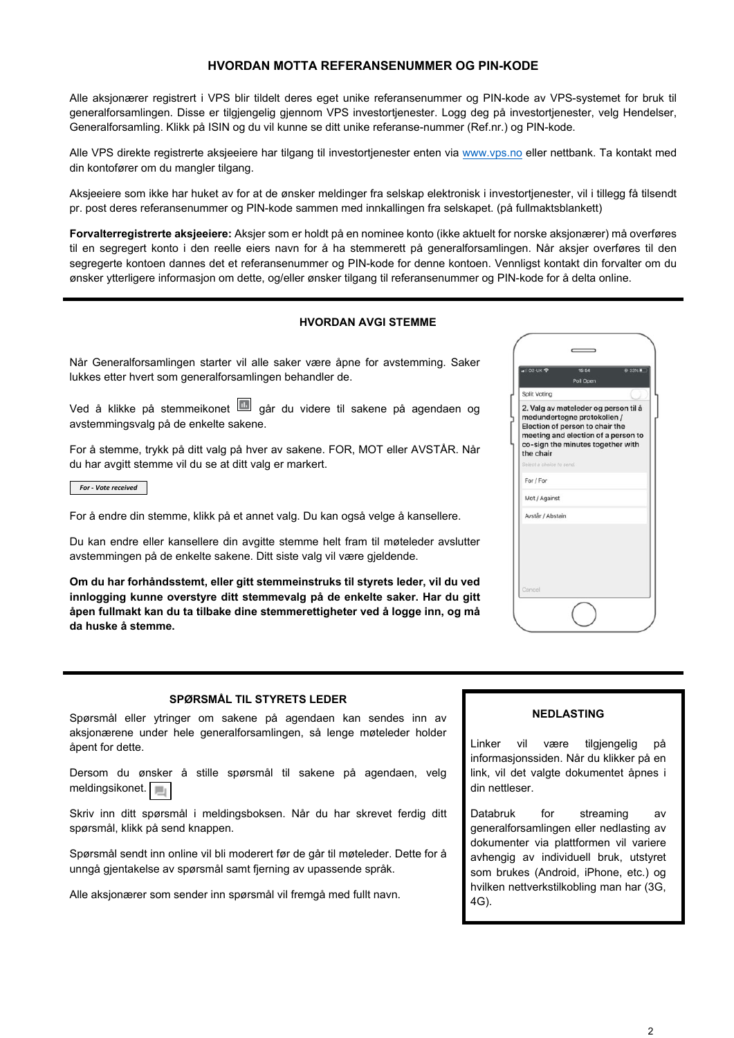#### **HVORDAN MOTTA REFERANSENUMMER OG PIN-KODE**

Alle aksjonærer registrert i VPS blir tildelt deres eget unike referansenummer og PIN-kode av VPS-systemet for bruk til generalforsamlingen. Disse er tilgjengelig gjennom VPS investortjenester. Logg deg på investortjenester, velg Hendelser, Generalforsamling. Klikk på ISIN og du vil kunne se ditt unike referanse-nummer (Ref.nr.) og PIN-kode.

Alle VPS direkte registrerte aksjeeiere har tilgang til investortjenester enten via www.vps.no eller nettbank. Ta kontakt med din kontofører om du mangler tilgang.

Aksjeeiere som ikke har huket av for at de ønsker meldinger fra selskap elektronisk i investortjenester, vil i tillegg få tilsendt pr. post deres referansenummer og PIN-kode sammen med innkallingen fra selskapet. (på fullmaktsblankett)

**Forvalterregistrerte aksjeeiere:** Aksjer som er holdt på en nominee konto (ikke aktuelt for norske aksjonærer) må overføres til en segregert konto i den reelle eiers navn for å ha stemmerett på generalforsamlingen. Når aksjer overføres til den segregerte kontoen dannes det et referansenummer og PIN-kode for denne kontoen. Vennligst kontakt din forvalter om du ønsker ytterligere informasjon om dette, og/eller ønsker tilgang til referansenummer og PIN-kode for å delta online.

#### **HVORDAN AVGI STEMME**

Når Generalforsamlingen starter vil alle saker være åpne for avstemming. Saker lukkes etter hvert som generalforsamlingen behandler de.

Ved å klikke på stemmeikonet **går** du videre til sakene på agendaen og avstemmingsvalg på de enkelte sakene.

For å stemme, trykk på ditt valg på hver av sakene. FOR, MOT eller AVSTÅR. Når du har avgitt stemme vil du se at ditt valg er markert.

*For ‐ Vote received*

For å endre din stemme, klikk på et annet valg. Du kan også velge å kansellere.

Du kan endre eller kansellere din avgitte stemme helt fram til møteleder avslutter avstemmingen på de enkelte sakene. Ditt siste valg vil være gjeldende.

**Om du har forhåndsstemt, eller gitt stemmeinstruks til styrets leder, vil du ved innlogging kunne overstyre ditt stemmevalg på de enkelte saker. Har du gitt åpen fullmakt kan du ta tilbake dine stemmerettigheter ved å logge inn, og må da huske å stemme.** 

| $\left  \right $ 02-UK   | 15:54<br>@ 33%<br>Poll Open                                                                                                                                                        |
|--------------------------|------------------------------------------------------------------------------------------------------------------------------------------------------------------------------------|
| <b>Split Voting</b>      |                                                                                                                                                                                    |
| the chair                | 2. Valg av møteleder og person til å<br>medundertegne protokollen /<br>Election of person to chair the<br>meeting and election of a person to<br>co-sign the minutes together with |
| Select a choice to send. |                                                                                                                                                                                    |
| For / For                |                                                                                                                                                                                    |
| Mot / Against            |                                                                                                                                                                                    |
| Avstår / Abstain         |                                                                                                                                                                                    |
| Cancel                   |                                                                                                                                                                                    |

#### **SPØRSMÅL TIL STYRETS LEDER**

Spørsmål eller ytringer om sakene på agendaen kan sendes inn av aksjonærene under hele generalforsamlingen, så lenge møteleder holder åpent for dette.

Dersom du ønsker å stille spørsmål til sakene på agendaen, velg meldingsikonet.

Skriv inn ditt spørsmål i meldingsboksen. Når du har skrevet ferdig ditt spørsmål, klikk på send knappen.

Spørsmål sendt inn online vil bli moderert før de går til møteleder. Dette for å unngå gjentakelse av spørsmål samt fjerning av upassende språk.

Alle aksjonærer som sender inn spørsmål vil fremgå med fullt navn.

#### **NEDLASTING**

Linker vil være tilgjengelig på informasjonssiden. Når du klikker på en link, vil det valgte dokumentet åpnes i din nettleser.

Databruk for streaming av generalforsamlingen eller nedlasting av dokumenter via plattformen vil variere avhengig av individuell bruk, utstyret som brukes (Android, iPhone, etc.) og hvilken nettverkstilkobling man har (3G, 4G).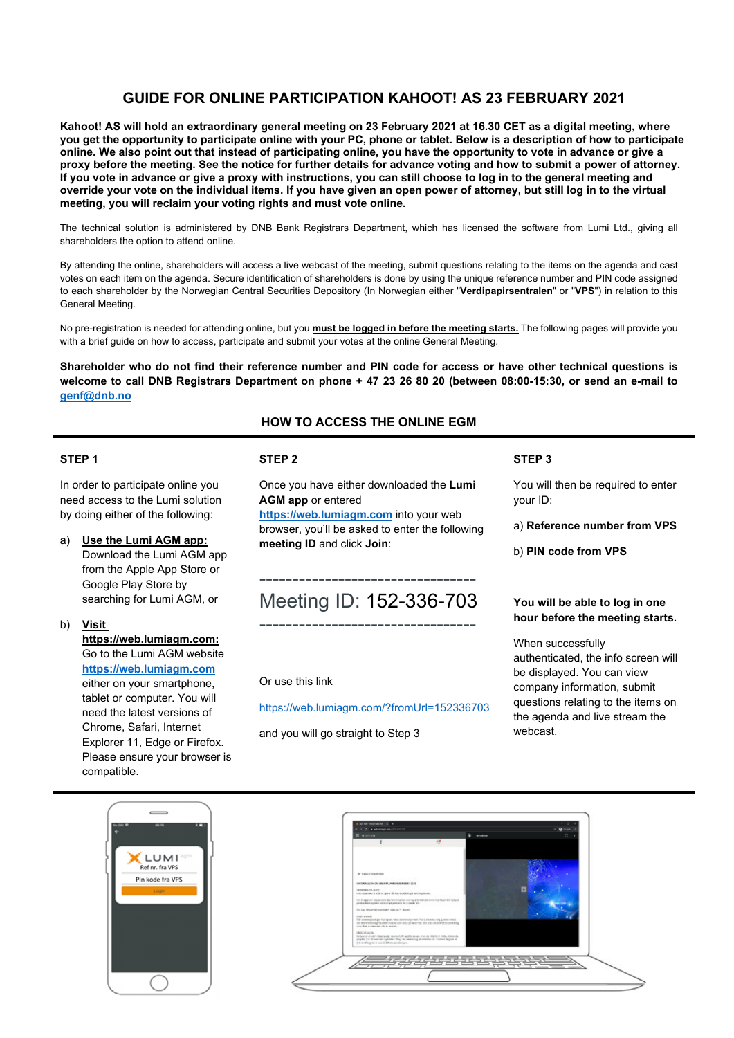## **GUIDE FOR ONLINE PARTICIPATION KAHOOT! AS 23 FEBRUARY 2021**

**Kahoot! AS will hold an extraordinary general meeting on 23 February 2021 at 16.30 CET as a digital meeting, where you get the opportunity to participate online with your PC, phone or tablet. Below is a description of how to participate online. We also point out that instead of participating online, you have the opportunity to vote in advance or give a proxy before the meeting. See the notice for further details for advance voting and how to submit a power of attorney. If you vote in advance or give a proxy with instructions, you can still choose to log in to the general meeting and override your vote on the individual items. If you have given an open power of attorney, but still log in to the virtual meeting, you will reclaim your voting rights and must vote online.** 

The technical solution is administered by DNB Bank Registrars Department, which has licensed the software from Lumi Ltd., giving all shareholders the option to attend online.

By attending the online, shareholders will access a live webcast of the meeting, submit questions relating to the items on the agenda and cast votes on each item on the agenda. Secure identification of shareholders is done by using the unique reference number and PIN code assigned to each shareholder by the Norwegian Central Securities Depository (In Norwegian either "**Verdipapirsentralen**" or "**VPS**") in relation to this General Meeting.

No pre-registration is needed for attending online, but you **must be logged in before the meeting starts.** The following pages will provide you with a brief guide on how to access, participate and submit your votes at the online General Meeting.

**Shareholder who do not find their reference number and PIN code for access or have other technical questions is welcome to call DNB Registrars Department on phone + 47 23 26 80 20 (between 08:00-15:30, or send an e-mail to genf@dnb.no**

**HOW TO ACCESS THE ONLINE EGM** 

#### **STEP 1**

In order to participate online you need access to the Lumi solution by doing either of the following:

- a) **Use the Lumi AGM app:** Download the Lumi AGM app from the Apple App Store or Google Play Store by searching for Lumi AGM, or
- b) **Visit https://web.lumiagm.com:** Go to the Lumi AGM website **https://web.lumiagm.com** either on your smartphone, tablet or computer. You will need the latest versions of Chrome, Safari, Internet Explorer 11, Edge or Firefox. Please ensure your browser is compatible.

#### **STEP 2**

Once you have either downloaded the **Lumi AGM app** or entered

**https://web.lumiagm.com** into your web browser, you'll be asked to enter the following **meeting ID** and click **Join**:

# --------------------------------- Meeting ID: 152-336-703

---------------------------------

Or use this link

https://web.lumiagm.com/?fromUrl=152336703

and you will go straight to Step 3

#### **STEP 3**

You will then be required to enter your ID:

a) **Reference number from VPS** 

b) **PIN code from VPS**

#### **You will be able to log in one hour before the meeting starts.**

When successfully authenticated, the info screen will be displayed. You can view company information, submit questions relating to the items on the agenda and live stream the webcast.